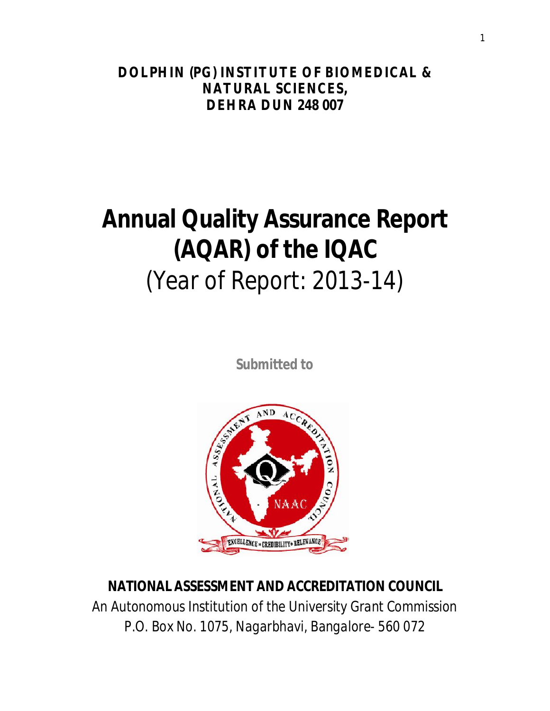**DOLPHIN (PG) INSTITUTE OF BIOMEDICAL & NATURAL SCIENCES, DEHRA DUN 248 007**

# **Annual Quality Assurance Report (AQAR) of the IQAC**

*(Year of Report: 2013-14)*

*Submitted to*



# **NATIONAL ASSESSMENT AND ACCREDITATION COUNCIL**

*An Autonomous Institution of the University Grant Commission P.O. Box No. 1075, Nagarbhavi, Bangalore- 560 072*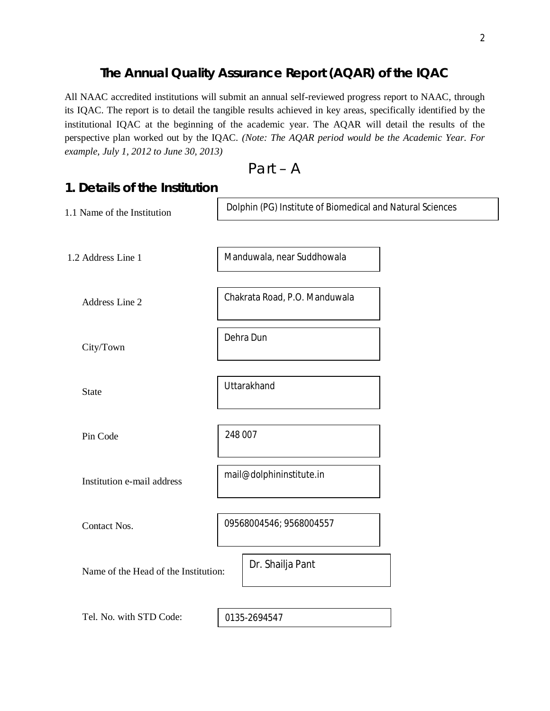## **The Annual Quality Assurance Report (AQAR) of the IQAC**

All NAAC accredited institutions will submit an annual self-reviewed progress report to NAAC, through its IQAC. The report is to detail the tangible results achieved in key areas, specifically identified by the institutional IQAC at the beginning of the academic year. The AQAR will detail the results of the perspective plan worked out by the IQAC. *(Note: The AQAR period would be the Academic Year. For example, July 1, 2012 to June 30, 2013)*

Part – A

| 1. Details of the Institution        |                                                           |  |
|--------------------------------------|-----------------------------------------------------------|--|
| 1.1 Name of the Institution          | Dolphin (PG) Institute of Biomedical and Natural Sciences |  |
|                                      |                                                           |  |
| 1.2 Address Line 1                   | Manduwala, near Suddhowala                                |  |
|                                      | Chakrata Road, P.O. Manduwala                             |  |
| Address Line 2                       |                                                           |  |
| City/Town                            | Dehra Dun                                                 |  |
|                                      |                                                           |  |
| <b>State</b>                         | Uttarakhand                                               |  |
|                                      |                                                           |  |
| Pin Code                             | 248 007                                                   |  |
|                                      | mail@dolphininstitute.in                                  |  |
| Institution e-mail address           |                                                           |  |
| Contact Nos.                         | 09568004546; 9568004557                                   |  |
|                                      |                                                           |  |
| Name of the Head of the Institution: | Dr. Shailja Pant                                          |  |
|                                      |                                                           |  |
| Tel. No. with STD Code:              | 0135-2694547                                              |  |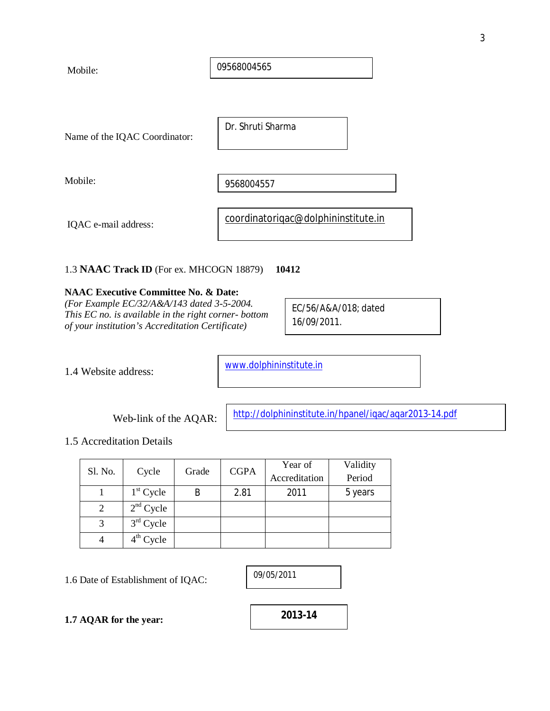| Mobile:                       | 09568004565                         |
|-------------------------------|-------------------------------------|
|                               |                                     |
| Name of the IQAC Coordinator: | Dr. Shruti Sharma                   |
| Mobile:                       | 9568004557                          |
| IQAC e-mail address:          | coordinatorigac@dolphininstitute.in |

#### 1.3 **NAAC Track ID** (For ex. MHCOGN 18879) **10412**

#### **NAAC Executive Committee No. & Date:**

*(For Example EC/32/A&A/143 dated 3-5-2004. This EC no. is available in the right corner- bottom of your institution's Accreditation Certificate)* 

EC/56/A&A/018; dated 16/09/2011.

1.4 Website address:

www.dolphininstitute.in

Web-link of the AQAR:

http://dolphininstitute.in/hpanel/iqac/aqar2013-14.pdf

1.5 Accreditation Details

|         |             | Grade | <b>CGPA</b> | Year of       | Validity |
|---------|-------------|-------|-------------|---------------|----------|
| Sl. No. | Cycle       |       |             | Accreditation | Period   |
|         | $1st$ Cycle | B     | 2.81        | 2011          | 5 years  |
|         | $2nd$ Cycle |       |             |               |          |
|         | $3rd$ Cycle |       |             |               |          |
|         | $4th$ Cycle |       |             |               |          |

1.6 Date of Establishment of IQAC:

09/05/2011

**1.7 AQAR for the year:**

**2013-14**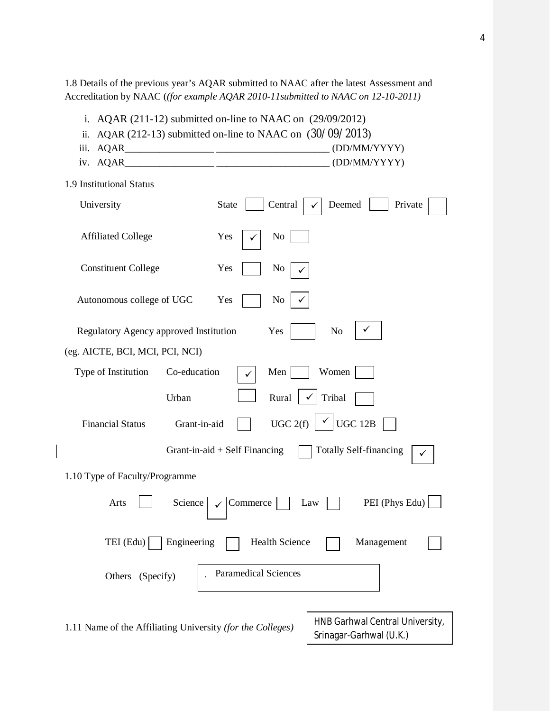1.8 Details of the previous year's AQAR submitted to NAAC after the latest Assessment and Accreditation by NAAC (*(for example AQAR 2010-11submitted to NAAC on 12-10-2011)*

| i.<br>ii.                                                                 | $AQAR$ (211-12) submitted on-line to NAAC on (29/09/2012)<br>$AQAR$ (212-13) submitted on-line to NAAC on (30/09/2013) |  |  |
|---------------------------------------------------------------------------|------------------------------------------------------------------------------------------------------------------------|--|--|
| iii.                                                                      | (DD/MM/YYYY)                                                                                                           |  |  |
| AQAR_<br>IV.                                                              | (DD/MM/YYYY)                                                                                                           |  |  |
| 1.9 Institutional Status                                                  |                                                                                                                        |  |  |
| University                                                                | Central<br>Deemed<br><b>State</b><br>Private                                                                           |  |  |
| <b>Affiliated College</b>                                                 | Yes<br>No                                                                                                              |  |  |
| <b>Constituent College</b>                                                | Yes<br>No                                                                                                              |  |  |
| Autonomous college of UGC                                                 | Yes<br>No                                                                                                              |  |  |
| Regulatory Agency approved Institution                                    | Yes<br>N <sub>o</sub>                                                                                                  |  |  |
| (eg. AICTE, BCI, MCI, PCI, NCI)                                           |                                                                                                                        |  |  |
| Type of Institution<br>Co-education                                       | Women<br>Men                                                                                                           |  |  |
| Urban                                                                     | Rural<br>Tribal                                                                                                        |  |  |
| <b>Financial Status</b><br>Grant-in-aid                                   | UGC 2(f)<br><b>UGC 12B</b>                                                                                             |  |  |
|                                                                           | <b>Totally Self-financing</b><br>Grant-in-aid $+$ Self Financing                                                       |  |  |
| 1.10 Type of Faculty/Programme                                            |                                                                                                                        |  |  |
| PEI (Phys Edu)<br>Arts<br>Science<br>Commerce<br>Law                      |                                                                                                                        |  |  |
| Engineering<br>$TEI$ (Edu) $\vert$<br><b>Health Science</b><br>Management |                                                                                                                        |  |  |
| <b>Paramedical Sciences</b><br>Others (Specify)                           |                                                                                                                        |  |  |
| 1.11 Name of the Affiliating University (for the Colleges)                | HNB Garhwal Central University,<br>Srinagar-Garhwal (U.K.)                                                             |  |  |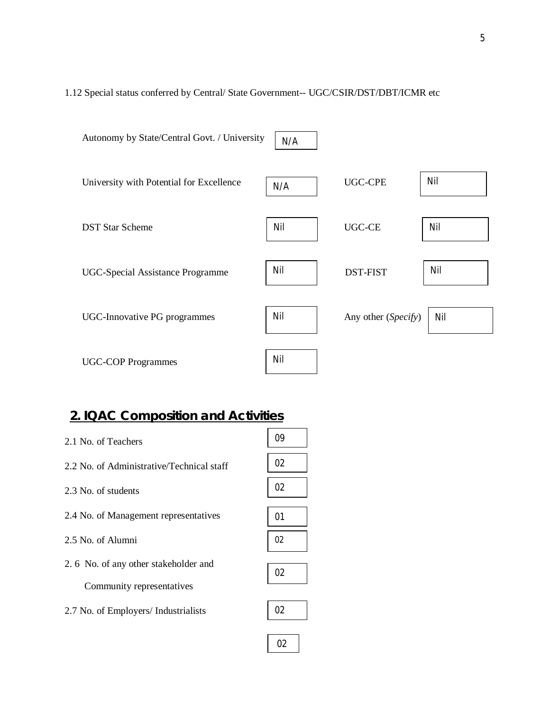### 1.12 Special status conferred by Central/ State Government-- UGC/CSIR/DST/DBT/ICMR etc

| Autonomy by State/Central Govt. / University | N/A |                     |     |
|----------------------------------------------|-----|---------------------|-----|
| University with Potential for Excellence     | N/A | <b>UGC-CPE</b>      | Nil |
| <b>DST Star Scheme</b>                       | Nil | UGC-CE              | Nil |
| UGC-Special Assistance Programme             | Nil | <b>DST-FIST</b>     | Nil |
| <b>UGC-Innovative PG programmes</b>          | Nil | Any other (Specify) | Nil |
| <b>UGC-COP Programmes</b>                    | Nil |                     |     |

02

# **2. IQAC Composition and Activities**

| 2.1 No. of Teachers                                                | Ωg |
|--------------------------------------------------------------------|----|
| 2.2 No. of Administrative/Technical staff                          | 02 |
| 2.3 No. of students                                                | 02 |
| 2.4 No. of Management representatives                              | 01 |
| 2.5 No. of Alumni                                                  | 02 |
| 2. 6 No. of any other stakeholder and<br>Community representatives | 02 |
| 2.7 No. of Employers/ Industrialists                               | 02 |
|                                                                    |    |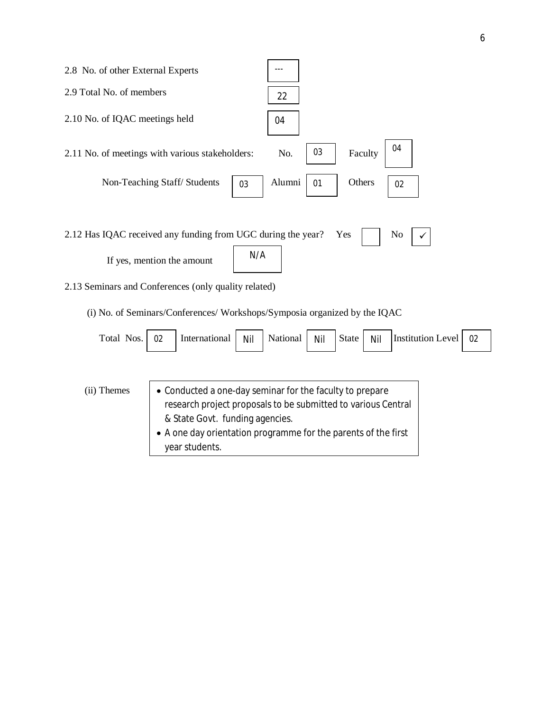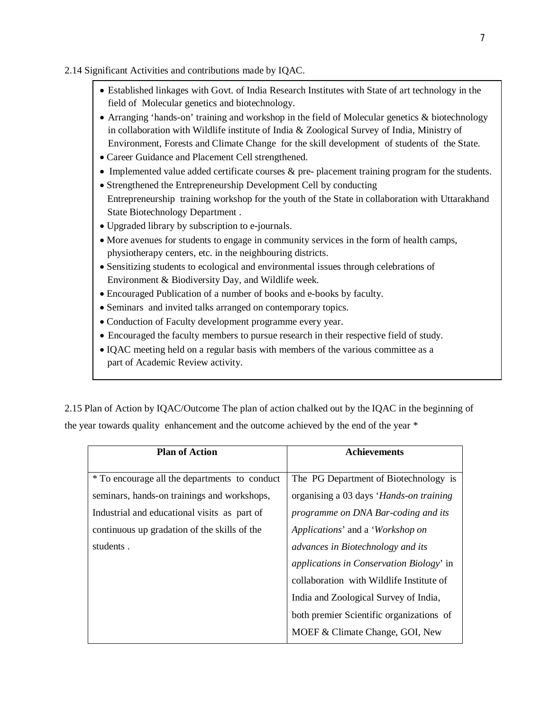#### 2.14 Significant Activities and contributions made by IQAC.

- Established linkages with Govt. of India Research Institutes with State of art technology in the field of Molecular genetics and biotechnology.
- Arranging 'hands-on' training and workshop in the field of Molecular genetics & biotechnology in collaboration with Wildlife institute of India & Zoological Survey of India, Ministry of Environment, Forests and Climate Change for the skill development of students of the State.
- Career Guidance and Placement Cell strengthened.
- Implemented value added certificate courses & pre- placement training program for the students.
- Strengthened the Entrepreneurship Development Cell by conducting Entrepreneurship training workshop for the youth of the State in collaboration with Uttarakhand State Biotechnology Department .
- Upgraded library by subscription to e-journals.
- More avenues for students to engage in community services in the form of health camps, physiotherapy centers, etc. in the neighbouring districts.
- Sensitizing students to ecological and environmental issues through celebrations of Environment & Biodiversity Day, and Wildlife week.
- Encouraged Publication of a number of books and e-books by faculty.
- Seminars and invited talks arranged on contemporary topics.
- Conduction of Faculty development programme every year.
- Encouraged the faculty members to pursue research in their respective field of study.
- IQAC meeting held on a regular basis with members of the various committee as a part of Academic Review activity.

2.15 Plan of Action by IQAC/Outcome The plan of action chalked out by the IQAC in the beginning of the year towards quality enhancement and the outcome achieved by the end of the year \*

| <b>Plan of Action</b>                         | <b>Achievements</b>                             |
|-----------------------------------------------|-------------------------------------------------|
|                                               |                                                 |
| * To encourage all the departments to conduct | The PG Department of Biotechnology is           |
| seminars, hands-on trainings and workshops,   | organising a 03 days 'Hands-on training         |
| Industrial and educational visits as part of  | programme on DNA Bar-coding and its             |
| continuous up gradation of the skills of the  | Applications' and a 'Workshop on                |
| students.                                     | advances in Biotechnology and its               |
|                                               | <i>applications in Conservation Biology'</i> in |
|                                               | collaboration with Wildlife Institute of        |
|                                               | India and Zoological Survey of India,           |
|                                               | both premier Scientific organizations of        |
|                                               | MOEF & Climate Change, GOI, New                 |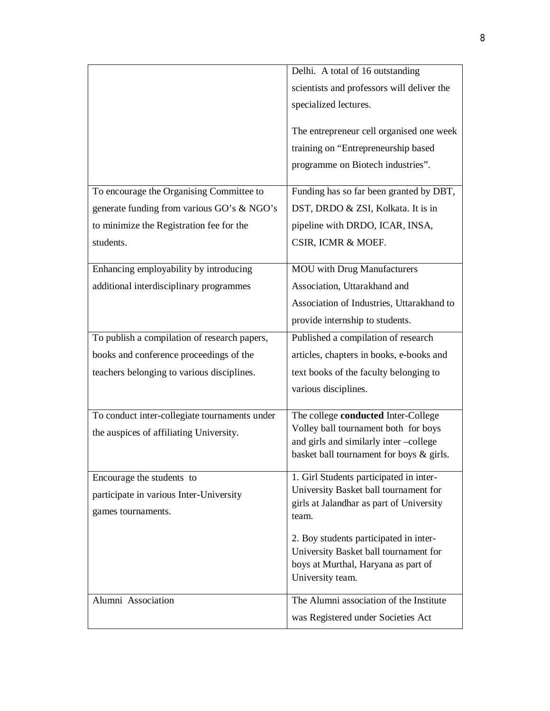|                                               | Delhi. A total of 16 outstanding                                                                                                           |
|-----------------------------------------------|--------------------------------------------------------------------------------------------------------------------------------------------|
|                                               | scientists and professors will deliver the                                                                                                 |
|                                               | specialized lectures.                                                                                                                      |
|                                               | The entrepreneur cell organised one week                                                                                                   |
|                                               | training on "Entrepreneurship based                                                                                                        |
|                                               | programme on Biotech industries".                                                                                                          |
| To encourage the Organising Committee to      | Funding has so far been granted by DBT,                                                                                                    |
| generate funding from various GO's & NGO's    | DST, DRDO & ZSI, Kolkata. It is in                                                                                                         |
| to minimize the Registration fee for the      | pipeline with DRDO, ICAR, INSA,                                                                                                            |
| students.                                     | CSIR, ICMR & MOEF.                                                                                                                         |
| Enhancing employability by introducing        | <b>MOU</b> with Drug Manufacturers                                                                                                         |
| additional interdisciplinary programmes       | Association, Uttarakhand and                                                                                                               |
|                                               | Association of Industries, Uttarakhand to                                                                                                  |
|                                               | provide internship to students.                                                                                                            |
|                                               |                                                                                                                                            |
| To publish a compilation of research papers,  | Published a compilation of research                                                                                                        |
| books and conference proceedings of the       | articles, chapters in books, e-books and                                                                                                   |
| teachers belonging to various disciplines.    | text books of the faculty belonging to                                                                                                     |
|                                               | various disciplines.                                                                                                                       |
| To conduct inter-collegiate tournaments under | The college conducted Inter-College                                                                                                        |
| the auspices of affiliating University.       | Volley ball tournament both for boys                                                                                                       |
|                                               | and girls and similarly inter-college<br>basket ball tournament for boys & girls.                                                          |
|                                               |                                                                                                                                            |
| Encourage the students to                     | 1. Girl Students participated in inter-                                                                                                    |
| participate in various Inter-University       | University Basket ball tournament for<br>girls at Jalandhar as part of University                                                          |
| games tournaments.                            | team.                                                                                                                                      |
|                                               | 2. Boy students participated in inter-<br>University Basket ball tournament for<br>boys at Murthal, Haryana as part of<br>University team. |
| Alumni Association                            | The Alumni association of the Institute                                                                                                    |
|                                               | was Registered under Societies Act                                                                                                         |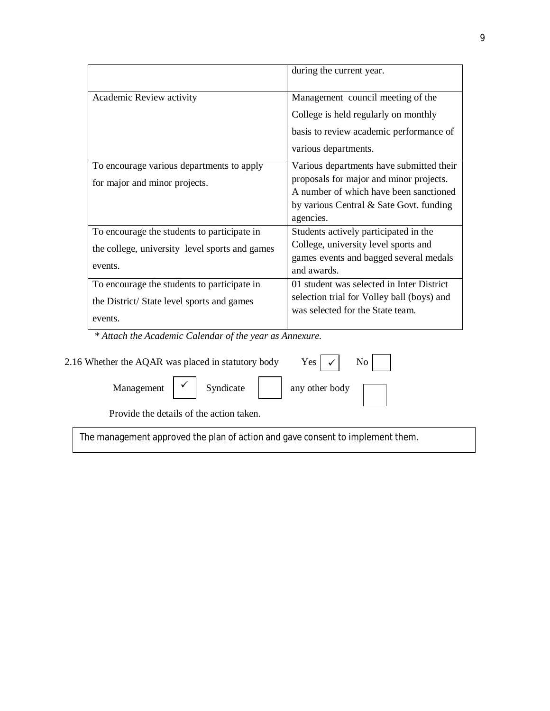|                                                | during the current year.                   |
|------------------------------------------------|--------------------------------------------|
| Academic Review activity                       | Management council meeting of the          |
|                                                | College is held regularly on monthly       |
|                                                | basis to review academic performance of    |
|                                                | various departments.                       |
| To encourage various departments to apply      | Various departments have submitted their   |
| for major and minor projects.                  | proposals for major and minor projects.    |
|                                                | A number of which have been sanctioned     |
|                                                | by various Central & Sate Govt. funding    |
|                                                | agencies.                                  |
| To encourage the students to participate in    | Students actively participated in the      |
| the college, university level sports and games | College, university level sports and       |
|                                                | games events and bagged several medals     |
| events.                                        | and awards.                                |
| To encourage the students to participate in    | 01 student was selected in Inter District  |
| the District/State level sports and games      | selection trial for Volley ball (boys) and |
|                                                | was selected for the State team.           |
| events.                                        |                                            |

 *\* Attach the Academic Calendar of the year as Annexure.*

| 2.16 Whether the AQAR was placed in statutory body                             | Yes $\vert \checkmark \vert$ No $\vert$                                           |  |  |  |
|--------------------------------------------------------------------------------|-----------------------------------------------------------------------------------|--|--|--|
|                                                                                | Management $\boxed{\smile}$ Syndicate $\boxed{\phantom{\text{a}}}$ any other body |  |  |  |
| Provide the details of the action taken.                                       |                                                                                   |  |  |  |
| The management approved the plan of action and gave consent to implement them. |                                                                                   |  |  |  |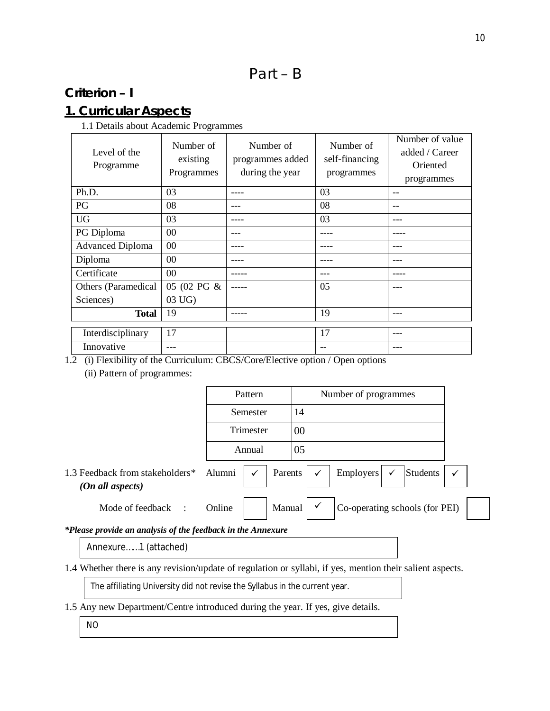# Part – B

# **Criterion – I**

# **1. Curricular Aspects**

1.1 Details about Academic Programmes

| Level of the<br>Programme | Number of<br>existing<br>Programmes | Number of<br>programmes added<br>during the year | Number of<br>self-financing<br>programmes | Number of value<br>added / Career<br>Oriented<br>programmes |
|---------------------------|-------------------------------------|--------------------------------------------------|-------------------------------------------|-------------------------------------------------------------|
| Ph.D.                     | 03                                  |                                                  | 03                                        | --                                                          |
| PG                        | 08                                  |                                                  | 08                                        | --                                                          |
| <b>UG</b>                 | 03                                  |                                                  | 03                                        |                                                             |
| PG Diploma                | 00                                  |                                                  |                                           |                                                             |
| <b>Advanced Diploma</b>   | 00                                  |                                                  |                                           |                                                             |
| Diploma                   | $00\,$                              |                                                  |                                           |                                                             |
| Certificate               | 00                                  |                                                  |                                           |                                                             |
| Others (Paramedical       | 05 (02 PG &                         |                                                  | 05                                        |                                                             |
| Sciences)                 | 03 UG)                              |                                                  |                                           |                                                             |
| <b>Total</b>              | 19                                  |                                                  | 19                                        |                                                             |
| Interdisciplinary         | 17                                  |                                                  | 17                                        |                                                             |
| Innovative                |                                     |                                                  |                                           |                                                             |

1.2 (i) Flexibility of the Curriculum: CBCS/Core/Elective option / Open options (ii) Pattern of programmes:

|                                                     | Pattern                           | Number of programmes                                                    |
|-----------------------------------------------------|-----------------------------------|-------------------------------------------------------------------------|
|                                                     | Semester                          | 14                                                                      |
|                                                     | Trimester                         | 00                                                                      |
|                                                     | Annual                            | 05                                                                      |
| 1.3 Feedback from stakeholders*<br>(On all aspects) | Alumni<br>Parents<br>$\checkmark$ | Employers<br>Students  <br>$\checkmark$<br>$\checkmark$<br>$\checkmark$ |
| Mode of feedback<br>$\cdot$                         | Manual<br>Online                  | Co-operating schools (for PEI)                                          |

*\*Please provide an analysis of the feedback in the Annexure*

Annexure……1 (attached)

1.4 Whether there is any revision/update of regulation or syllabi, if yes, mention their salient aspects.

The affiliating University did not revise the Syllabus in the current year.

1.5 Any new Department/Centre introduced during the year. If yes, give details.

NO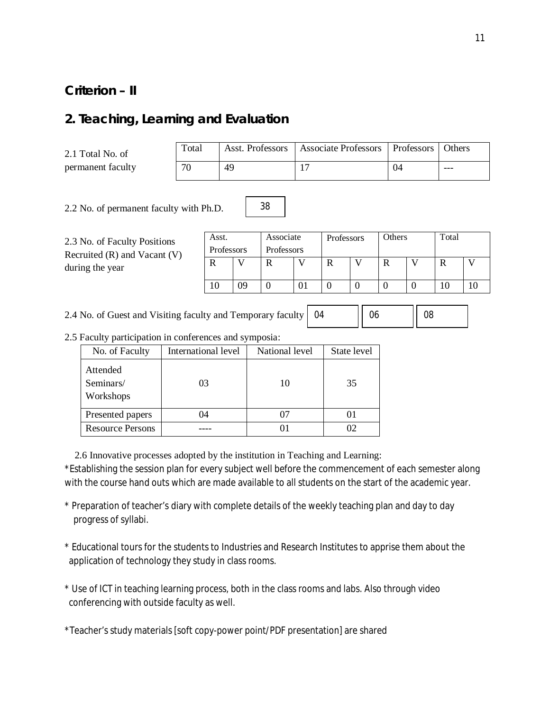### **Criterion – II**

### **2. Teaching, Learning and Evaluation**

2.1 Total No. of permanent faculty

| Total |    | Asst. Professors   Associate Professors   Professors   Others |  |
|-------|----|---------------------------------------------------------------|--|
|       | 49 |                                                               |  |

2.2 No. of permanent faculty with Ph.D.

2.3 No. of Faculty Positions Recruited (R) and Vacant (V) during the year

| Asst.          | Associate<br>Professors |            | Total<br>Others |  |  |  |  |  |  |
|----------------|-------------------------|------------|-----------------|--|--|--|--|--|--|
| Professors     |                         | Professors |                 |  |  |  |  |  |  |
|                |                         |            |                 |  |  |  |  |  |  |
|                |                         |            |                 |  |  |  |  |  |  |
| $\overline{0}$ | 09                      |            | $\mathbf{I}$    |  |  |  |  |  |  |

2.4 No. of Guest and Visiting faculty and Temporary faculty 04 06 1 08

2.5 Faculty participation in conferences and symposia:

| No. of Faculty                     | International level | National level | State level |
|------------------------------------|---------------------|----------------|-------------|
| Attended<br>Seminars/<br>Workshops | 03                  | 10             | 35          |
| Presented papers                   | 04                  | 07             |             |
| <b>Resource Persons</b>            |                     | 01             | იշ          |

2.6 Innovative processes adopted by the institution in Teaching and Learning:

\*Establishing the session plan for every subject well before the commencement of each semester along with the course hand outs which are made available to all students on the start of the academic year.

38

- \* Preparation of teacher's diary with complete details of the weekly teaching plan and day to day progress of syllabi.
- \* Educational tours for the students to Industries and Research Institutes to apprise them about the application of technology they study in class rooms.
- \* Use of ICT in teaching learning process, both in the class rooms and labs. Also through video conferencing with outside faculty as well.

\*Teacher's study materials [soft copy-power point/PDF presentation] are shared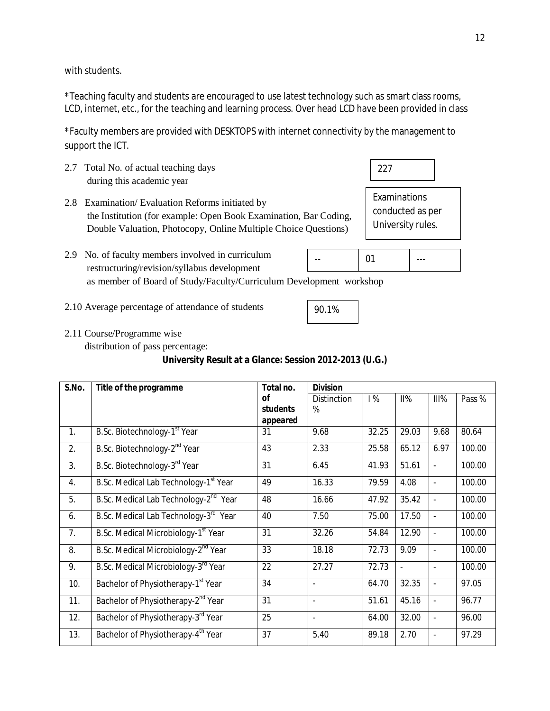with students.

\*Teaching faculty and students are encouraged to use latest technology such as smart class rooms, LCD, internet, etc., for the teaching and learning process. Over head LCD have been provided in class

\*Faculty members are provided with DESKTOPS with internet connectivity by the management to support the ICT.

- 2.7 Total No. of actual teaching days during this academic year
- 2.8 Examination/ Evaluation Reforms initiated by the Institution (for example: Open Book Examination, Bar Coding, Double Valuation, Photocopy, Online Multiple Choice Questions)
- 2.9 No. of faculty members involved in curriculum restructuring/revision/syllabus development as member of Board of Study/Faculty/Curriculum Development workshop -- 01
- 2.10 Average percentage of attendance of students
- 2.11 Course/Programme wise

distribution of pass percentage:

### **University Result at a Glance: Session 2012-2013 (U.G.)**

| S.No.          | Title of the programme                            | Total no. | <b>Division</b>          |       |                |                          |        |
|----------------|---------------------------------------------------|-----------|--------------------------|-------|----------------|--------------------------|--------|
|                |                                                   | <b>of</b> | <b>Distinction</b>       | 1%    | II%            | III%                     | Pass % |
|                |                                                   | students  | %                        |       |                |                          |        |
|                |                                                   | appeared  |                          |       |                |                          |        |
| 1.             | B.Sc. Biotechnology-1 <sup>st</sup> Year          | 31        | 9.68                     | 32.25 | 29.03          | 9.68                     | 80.64  |
| 2.             | B.Sc. Biotechnology-2 <sup>nd</sup> Year          | 43        | 2.33                     | 25.58 | 65.12          | 6.97                     | 100.00 |
| 3.             | B.Sc. Biotechnology-3 <sup>rd</sup> Year          | 31        | 6.45                     | 41.93 | 51.61          | ÷,                       | 100.00 |
| 4.             | B.Sc. Medical Lab Technology-1 <sup>st</sup> Year | 49        | 16.33                    | 79.59 | 4.08           | $\blacksquare$           | 100.00 |
| 5.             | B.Sc. Medical Lab Technology-2 <sup>nd</sup> Year | 48        | 16.66                    | 47.92 | 35.42          | ÷,                       | 100.00 |
| 6.             | B.Sc. Medical Lab Technology-3 <sup>rd</sup> Year | 40        | 7.50                     | 75.00 | 17.50          | $\overline{\phantom{a}}$ | 100.00 |
| 7 <sub>1</sub> | B.Sc. Medical Microbiology-1 <sup>st</sup> Year   | 31        | 32.26                    | 54.84 | 12.90          | $\overline{\phantom{a}}$ | 100.00 |
| 8.             | B.Sc. Medical Microbiology-2 <sup>nd</sup> Year   | 33        | 18.18                    | 72.73 | 9.09           | $\overline{\phantom{a}}$ | 100.00 |
| 9.             | B.Sc. Medical Microbiology-3 <sup>rd</sup> Year   | 22        | 27.27                    | 72.73 | $\blacksquare$ | $\overline{a}$           | 100.00 |
| 10.            | Bachelor of Physiotherapy-1 <sup>st</sup> Year    | 34        | $\blacksquare$           | 64.70 | 32.35          | $\overline{a}$           | 97.05  |
| 11.            | Bachelor of Physiotherapy-2 <sup>nd</sup> Year    | 31        | $\mathbf{r}$             | 51.61 | 45.16          | $\overline{\phantom{a}}$ | 96.77  |
| 12.            | Bachelor of Physiotherapy-3 <sup>rd</sup> Year    | 25        | $\overline{\phantom{a}}$ | 64.00 | 32.00          | $\overline{\phantom{a}}$ | 96.00  |
| 13.            | Bachelor of Physiotherapy-4 <sup>th</sup> Year    | 37        | 5.40                     | 89.18 | 2.70           | $\overline{a}$           | 97.29  |

12

Examinations conducted as per University rules.

|  |  |  | - - |
|--|--|--|-----|
|--|--|--|-----|

227

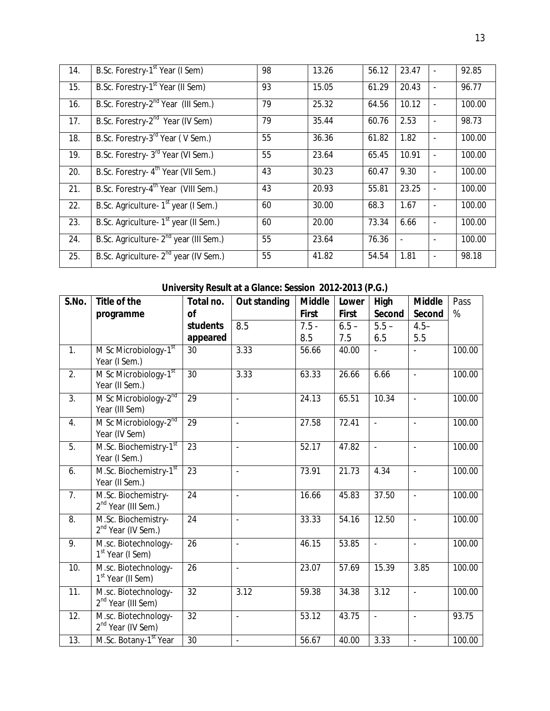| 14. | B.Sc. Forestry-1 <sup>st</sup> Year (I Sem)        | 98 | 13.26 | 56.12 | 23.47 |                          | 92.85  |
|-----|----------------------------------------------------|----|-------|-------|-------|--------------------------|--------|
| 15. | B.Sc. Forestry-1 <sup>st</sup> Year (II Sem)       | 93 | 15.05 | 61.29 | 20.43 | $\blacksquare$           | 96.77  |
| 16. | B.Sc. Forestry-2 <sup>nd</sup> Year (III Sem.)     | 79 | 25.32 | 64.56 | 10.12 | ÷,                       | 100.00 |
| 17. | B.Sc. Forestry-2 <sup>nd</sup> Year (IV Sem)       | 79 | 35.44 | 60.76 | 2.53  | ÷,                       | 98.73  |
| 18. | B.Sc. Forestry-3 <sup>rd</sup> Year (V Sem.)       | 55 | 36.36 | 61.82 | 1.82  | $\overline{\phantom{a}}$ | 100.00 |
| 19. | B.Sc. Forestry- 3 <sup>rd</sup> Year (VI Sem.)     | 55 | 23.64 | 65.45 | 10.91 | ÷,                       | 100.00 |
| 20. | B.Sc. Forestry- 4 <sup>th</sup> Year (VII Sem.)    | 43 | 30.23 | 60.47 | 9.30  | $\overline{a}$           | 100.00 |
| 21. | B.Sc. Forestry-4 <sup>th</sup> Year (VIII Sem.)    | 43 | 20.93 | 55.81 | 23.25 |                          | 100.00 |
| 22. | B.Sc. Agriculture- 1 <sup>st</sup> year (I Sem.)   | 60 | 30.00 | 68.3  | 1.67  | $\overline{\phantom{a}}$ | 100.00 |
| 23. | B.Sc. Agriculture- 1 <sup>st</sup> year (II Sem.)  | 60 | 20.00 | 73.34 | 6.66  | ÷,                       | 100.00 |
| 24. | B.Sc. Agriculture- 2 <sup>nd</sup> year (III Sem.) | 55 | 23.64 | 76.36 |       | $\overline{\phantom{a}}$ | 100.00 |
| 25. | B.Sc. Agriculture- 2 <sup>nd</sup> year (IV Sem.)  | 55 | 41.82 | 54.54 | 1.81  | ÷,                       | 98.18  |

# **University Result at a Glance: Session 2012-2013 (P.G.)**

| S.No.            | Title of the                                           | Total no.       | <b>Out standing</b>      | <b>Middle</b> | Lower        | <b>High</b>              | <b>Middle</b>            | Pass   |
|------------------|--------------------------------------------------------|-----------------|--------------------------|---------------|--------------|--------------------------|--------------------------|--------|
|                  | programme                                              | 0f              |                          | <b>First</b>  | <b>First</b> | Second                   | Second                   | %      |
|                  |                                                        | students        | 8.5                      | $7.5 -$       | $6.5 -$      | $5.5 -$                  | $4.5 -$                  |        |
|                  |                                                        | appeared        |                          | 8.5           | 7.5          | 6.5                      | 5.5                      |        |
| 1.               | M Sc Microbiology-1 <sup>st</sup><br>Year (I Sem.)     | 30              | 3.33                     | 56.66         | 40.00        |                          |                          | 100.00 |
| $\overline{2}$ . | M Sc Microbiology-1 <sup>st</sup><br>Year (II Sem.)    | $\overline{30}$ | 3.33                     | 63.33         | 26.66        | 6.66                     | $\overline{\phantom{a}}$ | 100.00 |
| $\overline{3}$ . | M Sc Microbiology-2 <sup>nd</sup><br>Year (III Sem)    | 29              | $\overline{a}$           | 24.13         | 65.51        | 10.34                    | $\overline{\phantom{a}}$ | 100.00 |
| 4.               | M Sc Microbiology-2nd<br>Year (IV Sem)                 | $\overline{29}$ | $\overline{a}$           | 27.58         | 72.41        | $\mathbb{Z}^2$           | $\mathcal{L}$            | 100.00 |
| 5.               | M.Sc. Biochemistry-1st<br>Year (I Sem.)                | 23              | $\overline{a}$           | 52.17         | 47.82        | $\overline{\phantom{a}}$ | $\Box$                   | 100.00 |
| 6.               | M.Sc. Biochemistry-1 <sup>st</sup><br>Year (II Sem.)   | $\overline{23}$ | $\mathbf{r}$             | 73.91         | 21.73        | 4.34                     | $\overline{\phantom{a}}$ | 100.00 |
| 7.               | M.Sc. Biochemistry-<br>2 <sup>nd</sup> Year (III Sem.) | $\overline{24}$ | $\overline{a}$           | 16.66         | 45.83        | 37.50                    | L.                       | 100.00 |
| 8.               | M.Sc. Biochemistry-<br>2 <sup>nd</sup> Year (IV Sem.)  | 24              | $\overline{a}$           | 33.33         | 54.16        | 12.50                    | $\overline{\phantom{a}}$ | 100.00 |
| 9.               | M.sc. Biotechnology-<br>1 <sup>st</sup> Year (I Sem)   | 26              | $\overline{a}$           | 46.15         | 53.85        | $\mathbb{L}$             | $\overline{a}$           | 100.00 |
| 10.              | M.sc. Biotechnology-<br>1 <sup>st</sup> Year (II Sem)  | 26              | $\overline{a}$           | 23.07         | 57.69        | 15.39                    | 3.85                     | 100.00 |
| 11.              | M.sc. Biotechnology-<br>2 <sup>nd</sup> Year (III Sem) | $\overline{32}$ | 3.12                     | 59.38         | 34.38        | 3.12                     | $\overline{\phantom{a}}$ | 100.00 |
| 12.              | M.sc. Biotechnology-<br>2 <sup>nd</sup> Year (IV Sem)  | $\overline{32}$ | $\overline{a}$           | 53.12         | 43.75        | ä,                       | $\blacksquare$           | 93.75  |
| 13.              | M.Sc. Botany-1 <sup>st</sup> Year                      | 30              | $\overline{\phantom{a}}$ | 56.67         | 40.00        | 3.33                     | $\mathbf{r}$             | 100.00 |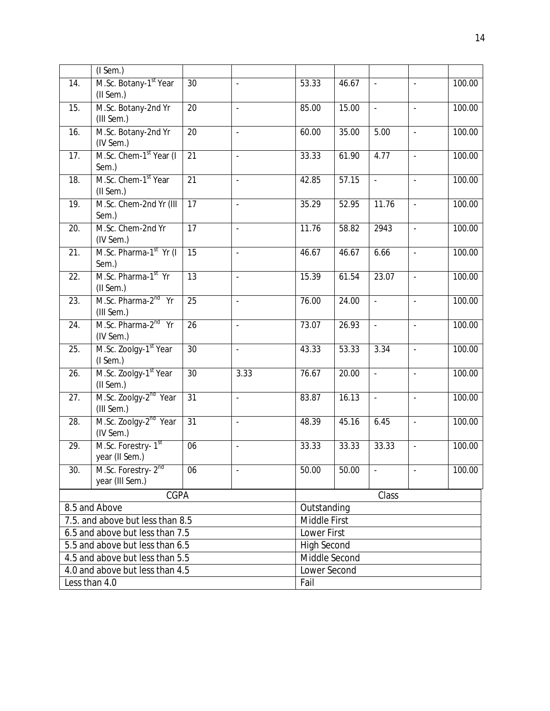|                                  | $($ I Sem. $)$                     |                 |                          |                    |       |          |                          |        |
|----------------------------------|------------------------------------|-----------------|--------------------------|--------------------|-------|----------|--------------------------|--------|
| 14.                              | M.Sc. Botany-1 <sup>st</sup> Year  | 30              |                          | 53.33              | 46.67 | $\Box$   |                          | 100.00 |
|                                  | (II Sem.)                          |                 |                          |                    |       |          |                          |        |
| 15.                              | M.Sc. Botany-2nd Yr                | 20              | $\overline{\phantom{a}}$ | 85.00              | 15.00 | $\Box$   | $\Box$                   | 100.00 |
|                                  | (III Sem.)                         |                 |                          |                    |       |          |                          |        |
| 16.                              | M.Sc. Botany-2nd Yr                | $\overline{20}$ | $\overline{a}$           | 60.00              | 35.00 | 5.00     | $\Box$                   | 100.00 |
|                                  | (IV Sem.)                          |                 |                          |                    |       |          |                          |        |
| 17.                              | M.Sc. Chem-1 <sup>st</sup> Year (I | 21              | $\Box$                   | 33.33              | 61.90 | 4.77     | $\Box$                   | 100.00 |
|                                  | Sem.)                              |                 |                          |                    |       |          |                          |        |
| 18.                              | M.Sc. Chem-1 <sup>st</sup> Year    | 21              | $\overline{a}$           | 42.85              | 57.15 | $\Box$   | $\overline{a}$           | 100.00 |
|                                  | (II Sem.)                          |                 |                          |                    |       |          |                          |        |
| 19.                              | M.Sc. Chem-2nd Yr (III             | 17              | $\Box$                   | 35.29              | 52.95 | 11.76    | $\Box$                   | 100.00 |
|                                  | Sem.)                              |                 |                          |                    |       |          |                          |        |
| 20.                              | M.Sc. Chem-2nd Yr                  | 17              | $\ddot{\phantom{a}}$     | 11.76              | 58.82 | 2943     | $\Box$                   | 100.00 |
|                                  | (IV Sem.)                          |                 |                          |                    |       |          |                          |        |
| 21.                              | M.Sc. Pharma-1 <sup>st</sup> Yr (I | 15              | $\Box$                   | 46.67              | 46.67 | 6.66     | $\overline{\phantom{a}}$ | 100.00 |
|                                  | Sem.)                              |                 |                          |                    |       |          |                          |        |
| $\overline{22}$ .                | M.Sc. Pharma-1st Yr                | 13              | $\overline{a}$           | 15.39              | 61.54 | 23.07    | $\omega$                 | 100.00 |
|                                  | (II Sem.)                          |                 |                          |                    |       |          |                          |        |
| 23.                              | M.Sc. Pharma-2 <sup>nd</sup> Yr    | 25              | $\Box$                   | 76.00              | 24.00 | $\omega$ | $\overline{\phantom{a}}$ | 100.00 |
|                                  | (III Sem.)                         |                 |                          |                    |       |          |                          |        |
| $\overline{24}$ .                | M.Sc. Pharma-2 <sup>nd</sup> Yr    | $\overline{26}$ | $\overline{a}$           | 73.07              | 26.93 | $\omega$ | $\mathbb{Z}^2$           | 100.00 |
|                                  | (IV Sem.)                          |                 |                          |                    |       |          |                          |        |
| 25.                              | M.Sc. Zoolgy-1 <sup>st</sup> Year  | $\overline{30}$ | $\overline{\phantom{a}}$ | 43.33              | 53.33 | 3.34     | $\blacksquare$           | 100.00 |
|                                  | $($ I Sem. $)$                     |                 |                          |                    |       |          |                          |        |
| 26.                              | M.Sc. Zoolgy-1 <sup>st</sup> Year  | 30              | 3.33                     | 76.67              | 20.00 | ÷,       | $\Box$                   | 100.00 |
|                                  | (II Sem.)                          |                 |                          |                    |       |          |                          |        |
| 27.                              | M.Sc. Zoolgy-2 <sup>nd</sup> Year  | $\overline{31}$ | $\blacksquare$           | 83.87              | 16.13 | $\Box$   | $\blacksquare$           | 100.00 |
|                                  | (III Sem.)                         |                 |                          |                    |       |          |                          |        |
| 28.                              | M.Sc. Zoolgy-2 <sup>nd</sup> Year  | 31              | $\overline{a}$           | 48.39              | 45.16 | 6.45     | $\omega$                 | 100.00 |
|                                  | (IV Sem.)                          |                 |                          |                    |       |          |                          |        |
| 29.                              | M.Sc. Forestry-1st                 | 06              | $\overline{\phantom{a}}$ | 33.33              | 33.33 | 33.33    | $\blacksquare$           | 100.00 |
|                                  | year (II Sem.)                     |                 |                          |                    |       |          |                          |        |
| 30.                              | M.Sc. Forestry- 2 <sup>nd</sup>    | 06              |                          | 50.00              | 50.00 |          |                          | 100.00 |
|                                  | year (III Sem.)                    |                 |                          |                    |       |          |                          |        |
| CGPA                             |                                    |                 |                          |                    |       | Class    |                          |        |
| 8.5 and Above                    |                                    |                 | Outstanding              |                    |       |          |                          |        |
| 7.5. and above but less than 8.5 |                                    |                 | Middle First             |                    |       |          |                          |        |
|                                  | 6.5 and above but less than 7.5    |                 |                          | Lower First        |       |          |                          |        |
|                                  | 5.5 and above but less than 6.5    |                 |                          | <b>High Second</b> |       |          |                          |        |
|                                  | 4.5 and above but less than 5.5    |                 |                          | Middle Second      |       |          |                          |        |
|                                  | 4.0 and above but less than 4.5    |                 |                          | Lower Second       |       |          |                          |        |
|                                  | Less than 4.0                      |                 |                          | Fail               |       |          |                          |        |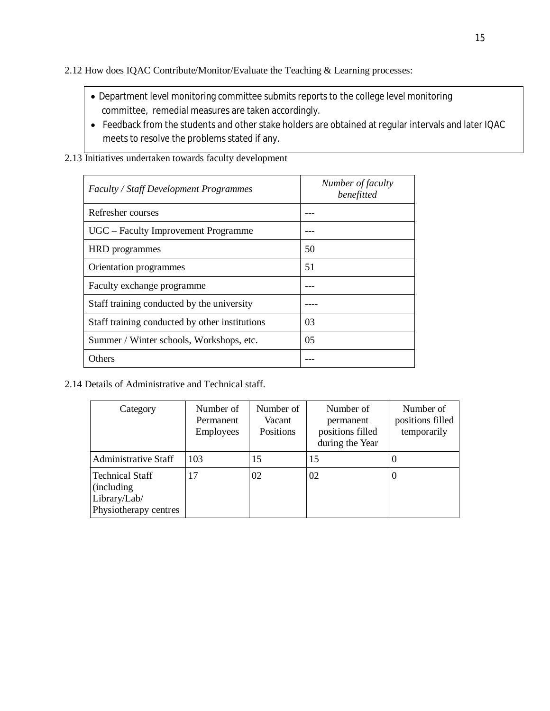2.12 How does IQAC Contribute/Monitor/Evaluate the Teaching & Learning processes:

- Department level monitoring committee submits reports to the college level monitoring committee, remedial measures are taken accordingly.
- Feedback from the students and other stake holders are obtained at regular intervals and later IQAC meets to resolve the problems stated if any.
- 2.13 Initiatives undertaken towards faculty development

| <b>Faculty / Staff Development Programmes</b>  | Number of faculty<br>benefitted |
|------------------------------------------------|---------------------------------|
| Refresher courses                              |                                 |
| UGC – Faculty Improvement Programme            |                                 |
| HRD programmes                                 | 50                              |
| Orientation programmes                         | 51                              |
| Faculty exchange programme                     |                                 |
| Staff training conducted by the university     |                                 |
| Staff training conducted by other institutions | 03                              |
| Summer / Winter schools, Workshops, etc.       | 05                              |
| Others                                         |                                 |

2.14 Details of Administrative and Technical staff.

| Category                                                                              | Number of<br>Permanent<br><b>Employees</b> | Number of<br>Vacant<br>Positions | Number of<br>permanent<br>positions filled<br>during the Year | Number of<br>positions filled<br>temporarily |
|---------------------------------------------------------------------------------------|--------------------------------------------|----------------------------------|---------------------------------------------------------------|----------------------------------------------|
| <b>Administrative Staff</b>                                                           | 103                                        | 15                               | 15                                                            |                                              |
| <b>Technical Staff</b><br><i>(including)</i><br>Library/Lab/<br>Physiotherapy centres | 17                                         | 02                               | 02                                                            |                                              |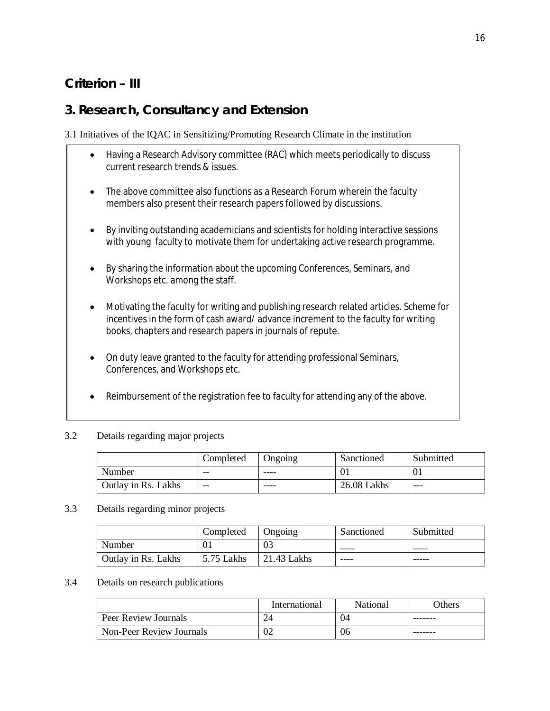# **Criterion – III**

# **3. Research, Consultancy and Extension**

3.1 Initiatives of the IQAC in Sensitizing/Promoting Research Climate in the institution

- Having a Research Advisory committee (RAC) which meets periodically to discuss current research trends & issues.
- The above committee also functions as a Research Forum wherein the faculty members also present their research papers followed by discussions.
- By inviting outstanding academicians and scientists for holding interactive sessions with young faculty to motivate them for undertaking active research programme.
- By sharing the information about the upcoming Conferences, Seminars, and Workshops etc. among the staff.
- Motivating the faculty for writing and publishing research related articles. Scheme for incentives in the form of cash award/ advance increment to the faculty for writing books, chapters and research papers in journals of repute.
- On duty leave granted to the faculty for attending professional Seminars, Conferences, and Workshops etc.
- Reimbursement of the registration fee to faculty for attending any of the above.

#### 3.2 Details regarding major projects

|                     | Completed | Ongoing | Sanctioned  | Submitted |
|---------------------|-----------|---------|-------------|-----------|
| Number              | --        | ----    | 01          | vı        |
| Outlay in Rs. Lakhs | --        | ----    | 26.08 Lakhs | ---       |

#### 3.3 Details regarding minor projects

|                     | Completed  | Ongoing       | Sanctioned | Submitted |
|---------------------|------------|---------------|------------|-----------|
| Number              |            | 03            |            |           |
| Outlay in Rs. Lakhs | 5.75 Lakhs | $21.43$ Lakhs | ----       | -----     |

#### 3.4 Details on research publications

|                          | International | National | <b>Others</b> |
|--------------------------|---------------|----------|---------------|
| Peer Review Journals     |               | .)4      |               |
| Non-Peer Review Journals | 02            | 06       |               |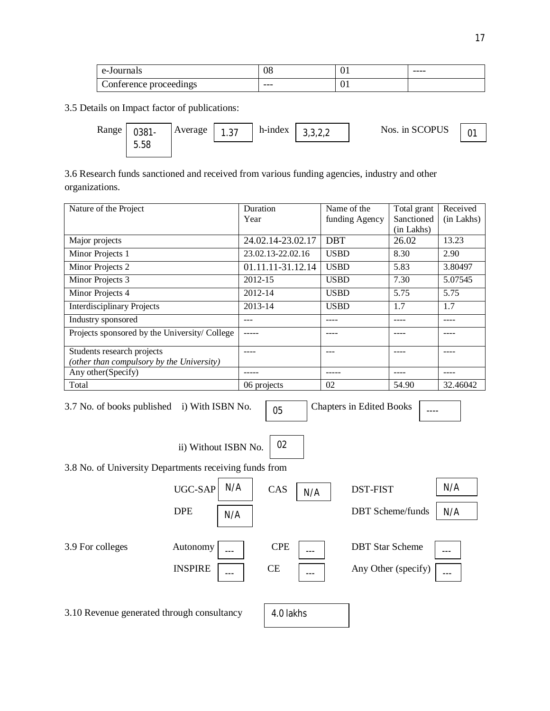| e-Journals            | 08  | v. | $- - - -$ |
|-----------------------|-----|----|-----------|
| onference proceedings | --- | vτ |           |

3.5 Details on Impact factor of publications:



3.6 Research funds sanctioned and received from various funding agencies, industry and other organizations.

| Nature of the Project                        | Duration          | Name of the    | Total grant | Received   |
|----------------------------------------------|-------------------|----------------|-------------|------------|
|                                              | Year              | funding Agency | Sanctioned  | (in Lakhs) |
|                                              |                   |                | (in Lakhs)  |            |
| Major projects                               | 24.02.14-23.02.17 | <b>DBT</b>     | 26.02       | 13.23      |
| Minor Projects 1                             | 23.02.13-22.02.16 | <b>USBD</b>    | 8.30        | 2.90       |
| Minor Projects 2                             | 01.11.11-31.12.14 | <b>USBD</b>    | 5.83        | 3.80497    |
| Minor Projects 3                             | 2012-15           | <b>USBD</b>    | 7.30        | 5.07545    |
| Minor Projects 4                             | 2012-14           | <b>USBD</b>    | 5.75        | 5.75       |
| <b>Interdisciplinary Projects</b>            | 2013-14           | <b>USBD</b>    | 1.7         | 1.7        |
| Industry sponsored                           |                   |                |             |            |
| Projects sponsored by the University/College |                   |                |             |            |
| Students research projects                   |                   | ---            |             |            |
| (other than compulsory by the University)    |                   |                |             |            |
| Any other (Specify)                          |                   |                |             |            |
| Total                                        | 06 projects       | 02             | 54.90       | 32.46042   |

3.7 No. of books published i) With ISBN No.  $\sqrt{0.05}$ 

Chapters in Edited Books  $\boxed{\phantom{1}...}$ 

ii) Without ISBN No.

02

3.8 No. of University Departments receiving funds from



3.10 Revenue generated through consultancy

4.0 lakhs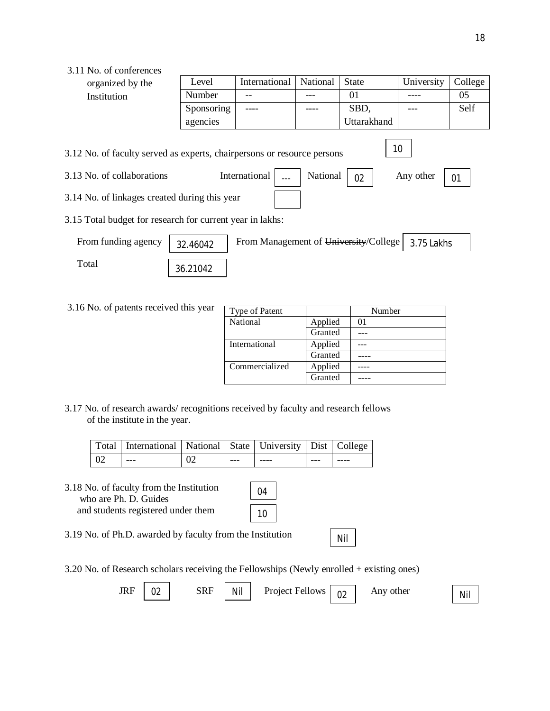### 3.11 No. of conferences

| organized by the                                                                                                                                                                                                   | Level         | International | National | State       | University | College |  |  |
|--------------------------------------------------------------------------------------------------------------------------------------------------------------------------------------------------------------------|---------------|---------------|----------|-------------|------------|---------|--|--|
| Institution                                                                                                                                                                                                        | <b>Number</b> |               |          | 01          |            | 05      |  |  |
|                                                                                                                                                                                                                    | Sponsoring    |               |          | SBD,        |            | Self    |  |  |
|                                                                                                                                                                                                                    | agencies      |               |          | Uttarakhand |            |         |  |  |
| 10<br>3.12 No. of faculty served as experts, chairpersons or resource persons<br>International<br>National<br>3.13 No. of collaborations<br>Any other<br>02<br>01<br>3.14 No. of linkages created during this year |               |               |          |             |            |         |  |  |
| 3.15 Total budget for research for current year in lakhs:                                                                                                                                                          |               |               |          |             |            |         |  |  |
| From Management of University/College<br>From funding agency<br>3.75 Lakhs<br>32.46042                                                                                                                             |               |               |          |             |            |         |  |  |
| Total                                                                                                                                                                                                              | 21.21012      |               |          |             |            |         |  |  |

3.16 No. of patents received this year

36.21042

| Type of Patent |         | Number |
|----------------|---------|--------|
| National       | Applied | 01     |
|                | Granted |        |
| International  | Applied |        |
|                | Granted |        |
| Commercialized | Applied |        |
|                | Granted |        |

Nil

3.17 No. of research awards/ recognitions received by faculty and research fellows of the institute in the year.

|     | Total   International   National   State   University   Dist   College |    |               |      |         |      |
|-----|------------------------------------------------------------------------|----|---------------|------|---------|------|
| -02 | $---$                                                                  | 02 | $\frac{1}{2}$ | ---- | $- - -$ | ---- |

3.18 No. of faculty from the Institution who are Ph. D. Guides and students registered under them

04 10

3.19 No. of Ph.D. awarded by faculty from the Institution

3.20 No. of Research scholars receiving the Fellowships (Newly enrolled + existing ones)

| <b>JRF</b> | ◡▵ | SRF | Nil | <b>Project Fellows</b> | $\cap$<br>◡∠ | Any other | Nil |
|------------|----|-----|-----|------------------------|--------------|-----------|-----|
|            |    |     |     |                        |              |           |     |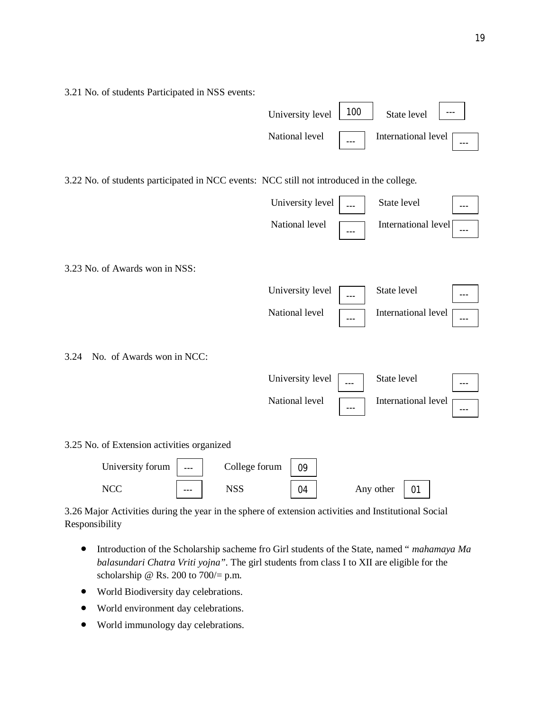3.21 No. of students Participated in NSS events:



3.22 No. of students participated in NCC events: NCC still not introduced in the college.



3.23 No. of Awards won in NSS:

| University level $\Box$ | --- | State level           | $--$    |  |
|-------------------------|-----|-----------------------|---------|--|
| National level          | --- | International level [ | $- - -$ |  |

3.24 No. of Awards won in NCC:

| University level<br>State level<br>$---$       | $--$ |
|------------------------------------------------|------|
| National level<br>International level [<br>--- | $--$ |

3.25 No. of Extension activities organized



3.26 Major Activities during the year in the sphere of extension activities and Institutional Social Responsibility

- Introduction of the Scholarship sacheme fro Girl students of the State, named " *mahamaya Ma balasundari Chatra Vriti yojna".* The girl students from class I to XII are eligible for the scholarship @ Rs. 200 to  $700/= p.m.$
- World Biodiversity day celebrations.
- World environment day celebrations.
- World immunology day celebrations.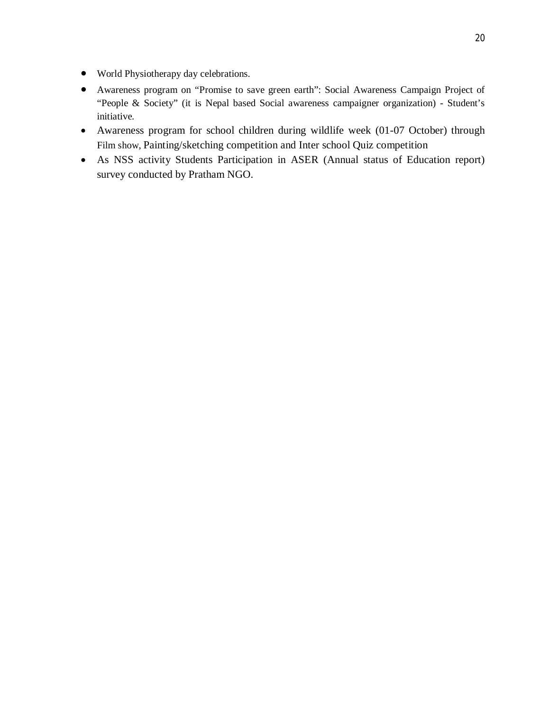- World Physiotherapy day celebrations.
- Awareness program on "Promise to save green earth": Social Awareness Campaign Project of "People & Society" (it is Nepal based Social awareness campaigner organization) - Student's initiative.
- Awareness program for school children during wildlife week (01-07 October) through Film show, Painting/sketching competition and Inter school Quiz competition
- As NSS activity Students Participation in ASER (Annual status of Education report) survey conducted by Pratham NGO.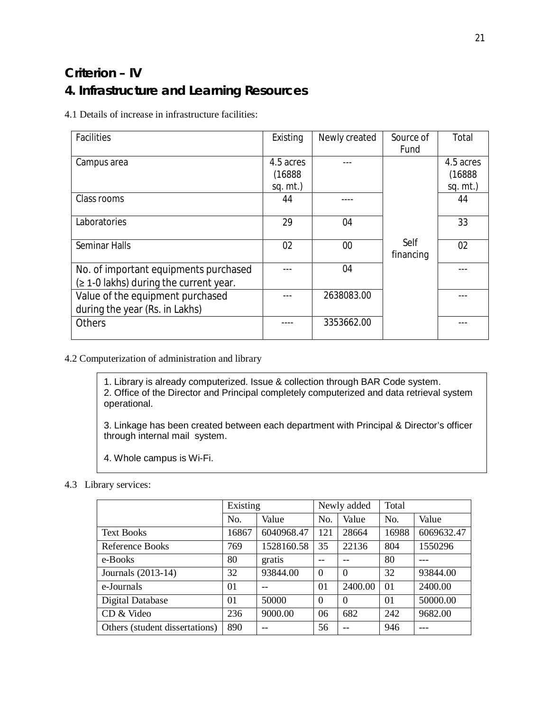# **Criterion – IV 4. Infrastructure and Learning Resources**

4.1 Details of increase in infrastructure facilities:

| <b>Facilities</b>                         | Existing    | Newly created | Source of | Total       |
|-------------------------------------------|-------------|---------------|-----------|-------------|
|                                           |             |               | Fund      |             |
| Campus area                               | 4.5 acres   |               |           | 4.5 acres   |
|                                           | (16888)     |               |           | (16888)     |
|                                           | sq. $mt$ .) |               |           | $sq. mt.$ ) |
| Class rooms                               | 44          |               |           | 44          |
|                                           |             |               |           |             |
| Laboratories                              | 29          | 04            |           | 33          |
|                                           |             |               |           |             |
| <b>Seminar Halls</b>                      | 02          | 00            | Self      | 02          |
|                                           |             |               | financing |             |
| No. of important equipments purchased     |             | 04            |           |             |
| $($ 2 1-0 lakhs) during the current year. |             |               |           |             |
| Value of the equipment purchased          |             | 2638083.00    |           |             |
| during the year (Rs. in Lakhs)            |             |               |           |             |
| <b>Others</b>                             |             | 3353662.00    |           |             |
|                                           |             |               |           |             |

#### 4.2 Computerization of administration and library

1. Library is already computerized. Issue & collection through BAR Code system. 2. Office of the Director and Principal completely computerized and data retrieval system operational.

3. Linkage has been created between each department with Principal & Director's officer through internal mail system.

4. Whole campus is Wi-Fi.

#### 4.3 Library services:

|                                |       | Existing   |                | Newly added |          |            |
|--------------------------------|-------|------------|----------------|-------------|----------|------------|
|                                | No.   | Value      | No.            | Value       | No.      | Value      |
| <b>Text Books</b>              | 16867 | 6040968.47 | 121            | 28664       | 16988    | 6069632.47 |
| Reference Books                | 769   | 1528160.58 | 35             | 22136       | 804      | 1550296    |
| e-Books                        | 80    | gratis     |                |             | 80       |            |
| Journals (2013-14)             | 32    | 93844.00   | $\overline{0}$ | $\Omega$    | 32       | 93844.00   |
| e-Journals                     | 01    |            | $\Omega$       | 2400.00     | 01       | 2400.00    |
| Digital Database               | 01    | 50000      | $\Omega$       | $\Omega$    | $\Omega$ | 50000.00   |
| CD & Video                     | 236   | 9000.00    | 06             | 682         | 242      | 9682.00    |
| Others (student dissertations) | 890   |            | 56             |             | 946      |            |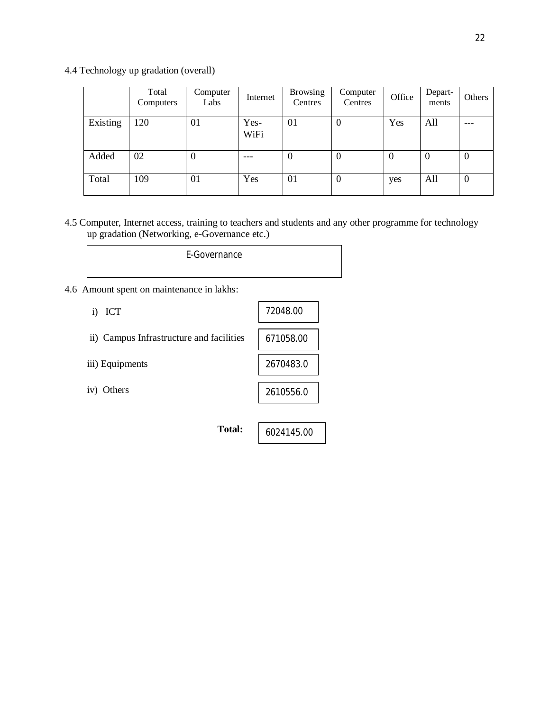4.4 Technology up gradation (overall)

|          | Total<br>Computers | Computer<br>Labs | Internet     | <b>Browsing</b><br>Centres | Computer<br>Centres | Office   | Depart-<br>ments | Others   |
|----------|--------------------|------------------|--------------|----------------------------|---------------------|----------|------------------|----------|
| Existing | 120                | 01               | Yes-<br>WiFi | 01                         | $\boldsymbol{0}$    | Yes      | All              | ---      |
| Added    | 02                 | 0                |              | O                          | $\boldsymbol{0}$    | $\theta$ | $\theta$         | $\theta$ |
| Total    | 109                | 01               | Yes          | 01                         | $\boldsymbol{0}$    | yes      | All              | $\theta$ |

4.5 Computer, Internet access, training to teachers and students and any other programme for technology up gradation (Networking, e-Governance etc.)

| E-Governance |  |
|--------------|--|
|--------------|--|

4.6 Amount spent on maintenance in lakhs:

| ICT<br>$\bf{1)}$                         | 72048.00   |
|------------------------------------------|------------|
| ii) Campus Infrastructure and facilities | 671058.00  |
| iii) Equipments                          | 2670483.0  |
| iv) Others                               | 2610556.0  |
|                                          |            |
| <b>Total:</b>                            | 6024145.00 |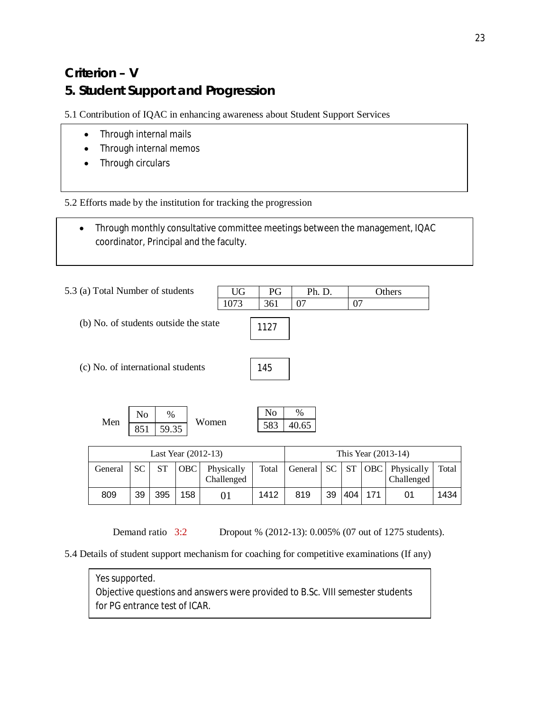# **Criterion – V 5. Student Support and Progression**

5.1 Contribution of IQAC in enhancing awareness about Student Support Services

- Through internal mails
- Through internal memos
- Through circulars

5.2 Efforts made by the institution for tracking the progression

 Through monthly consultative committee meetings between the management, IQAC coordinator, Principal and the faculty.

| 5.3 (a) Total Number of students      |                       |                |                     | UG    | PG                         | Ph. D.     |              |    |                     | Others           |
|---------------------------------------|-----------------------|----------------|---------------------|-------|----------------------------|------------|--------------|----|---------------------|------------------|
|                                       |                       |                |                     | 1073  | 361                        | 07         |              | 07 |                     |                  |
| (b) No. of students outside the state |                       |                |                     |       | 1127                       |            |              |    |                     |                  |
| (c) No. of international students     |                       |                |                     |       | 145                        |            |              |    |                     |                  |
| Men                                   | N <sub>0</sub><br>851 | %<br>59.35     |                     | Women | No<br>583                  | %<br>40.65 |              |    |                     |                  |
|                                       |                       |                | Last Year (2012-13) |       |                            |            |              |    | This Year (2013-14) |                  |
| $C$ <sub>anara</sub> l                | $\mathbf{C}$          | C <sub>T</sub> | $\Omega$            | Dh    | $T_{\alpha\dagger\alpha}1$ | $C$ onorol | $\mathbf{C}$ | CT |                     | $ODC$ $Dh$ $mio$ |

| Last Year (2012-13) |           |     |     |                          |      |                      |    |     | This Year (2013-14) |                                       |       |
|---------------------|-----------|-----|-----|--------------------------|------|----------------------|----|-----|---------------------|---------------------------------------|-------|
| General             | <b>SC</b> |     | OBC | Physically<br>Challenged |      | Total   General   SC |    |     |                     | $ST   OBC  $ Physically<br>Challenged | Total |
| 809                 | 39        | 395 | 158 |                          | 1412 | 819                  | 39 | 404 | 171                 |                                       | 1434  |

Demand ratio 3:2 Dropout % (2012-13): 0.005% (07 out of 1275 students).

5.4 Details of student support mechanism for coaching for competitive examinations (If any)

Yes supported.

Objective questions and answers were provided to B.Sc. VIII semester students for PG entrance test of ICAR.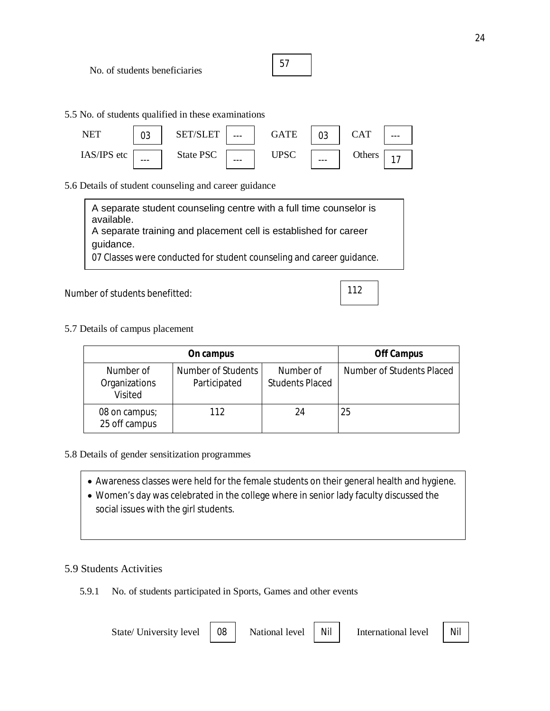No. of students beneficiaries

| ۰.<br>v |  |  |
|---------|--|--|
|         |  |  |

5.5 No. of students qualified in these examinations

| <b>NFT</b>  | n.,<br>U3 | SF<br>$---$         | GATE | ◡◡      | CAT    | $- - -$ |
|-------------|-----------|---------------------|------|---------|--------|---------|
| IAS/IPS etc | $- - -$   | State PSC<br>$-- -$ | UPSC | $- - -$ | Others |         |

5.6 Details of student counseling and career guidance

 $\vert$  A separate training and placement cell is established for career A separate student counseling centre with a full time counselor is available. guidance. 07 Classes were conducted for student counseling and career guidance.

Number of students benefitted:

5.7 Details of campus placement

|                                              | <b>Off Campus</b>                  |                                     |                           |
|----------------------------------------------|------------------------------------|-------------------------------------|---------------------------|
| Number of<br>Organizations<br><b>Visited</b> | Number of Students<br>Participated | Number of<br><b>Students Placed</b> | Number of Students Placed |
| 08 on campus;<br>25 off campus               | 112                                | 24                                  | 25                        |

112

- 5.8 Details of gender sensitization programmes
	- Awareness classes were held for the female students on their general health and hygiene.
	- Women's day was celebrated in the college where in senior lady faculty discussed the social issues with the girl students.

### 5.9 Students Activities

5.9.1 No. of students participated in Sports, Games and other events

| State/University level   08 | National level   Nil | International level | Nil |
|-----------------------------|----------------------|---------------------|-----|
|                             |                      |                     |     |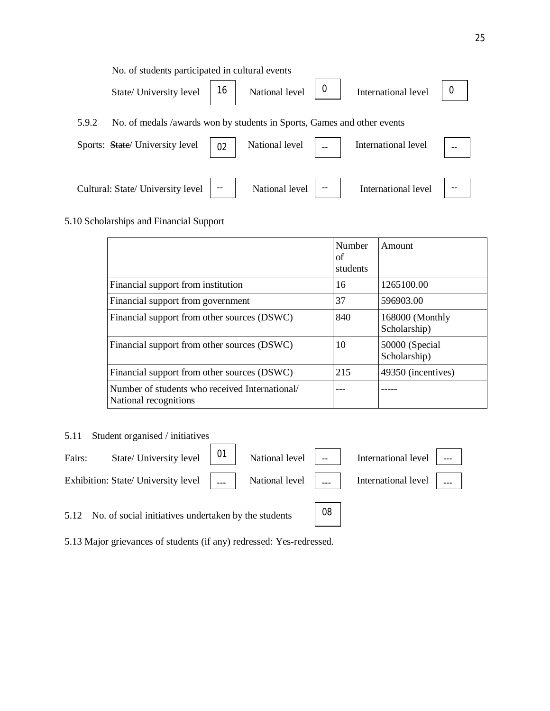No. of students participated in cultural events State/ University level  $\begin{vmatrix} 16 \\ 16 \end{vmatrix}$  National level  $\begin{vmatrix} 0 \\ 16 \end{vmatrix}$ 5.9.2 No. of medals /awards won by students in Sports, Games and other events Sports: State/ University level  $\begin{vmatrix} 0 & 0 \\ 0 & 0 \end{vmatrix}$  National level  $\begin{vmatrix} 0 & 0 \\ 0 & 0 \end{vmatrix}$ Cultural: State/ University level  $\vert \cdot \vert$  National level  $\vert \cdot \vert$ International level  $\begin{bmatrix} 0 \\ 0 \end{bmatrix}$ International level  $\| \_$ . International level

#### 5.10 Scholarships and Financial Support

|                                                                         | Number<br>οf<br>students | Amount                          |
|-------------------------------------------------------------------------|--------------------------|---------------------------------|
| Financial support from institution                                      | 16                       | 1265100.00                      |
| Financial support from government                                       | 37                       | 596903.00                       |
| Financial support from other sources (DSWC)                             | 840                      | 168000 (Monthly<br>Scholarship) |
| Financial support from other sources (DSWC)                             | 10                       | 50000 (Special<br>Scholarship)  |
| Financial support from other sources (DSWC)                             | 215                      | 49350 (incentives)              |
| Number of students who received International/<br>National recognitions |                          |                                 |

#### 5.11 Student organised / initiatives

| Fairs: State/University level $\begin{bmatrix} 01 \\ 01 \end{bmatrix}$ National level $\begin{bmatrix} 0 & 0 \\ 0 & -1 \end{bmatrix}$ International level $\begin{bmatrix} 0 & 0 \\ 0 & -1 \end{bmatrix}$ |  |  |  |
|-----------------------------------------------------------------------------------------------------------------------------------------------------------------------------------------------------------|--|--|--|
| Exhibition: State/ University level      National level      International level                                                                                                                          |  |  |  |
|                                                                                                                                                                                                           |  |  |  |

08

5.12 No. of social initiatives undertaken by the students

5.13 Major grievances of students (if any) redressed: Yes-redressed.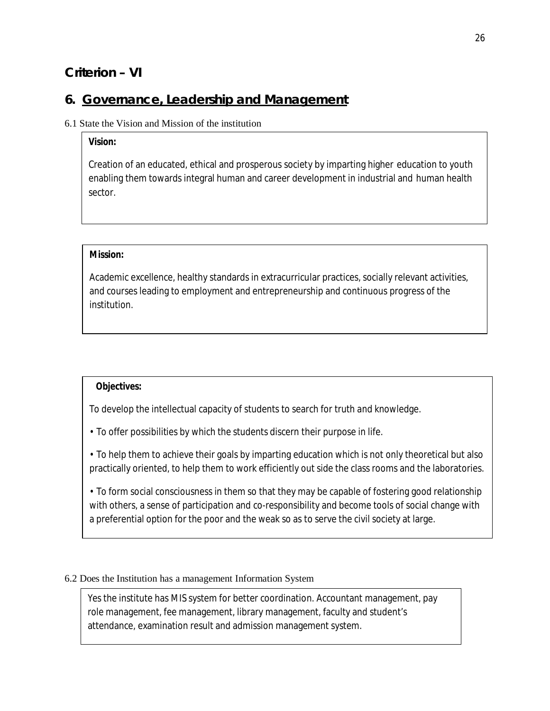# **Criterion – VI**

# **6. Governance, Leadership and Management**

### 6.1 State the Vision and Mission of the institution

### *Vision:*

Creation of an educated, ethical and prosperous society by imparting higher education to youth enabling them towards integral human and career development in industrial and human health sector.

#### *Mission:*

Academic excellence, healthy standards in extracurricular practices, socially relevant activities, and courses leading to employment and entrepreneurship and continuous progress of the institution.

#### *Objectives:*

To develop the intellectual capacity of students to search for truth and knowledge.

- To offer possibilities by which the students discern their purpose in life.
- To help them to achieve their goals by imparting education which is not only theoretical but also practically oriented, to help them to work efficiently out side the class rooms and the laboratories.

• To form social consciousness in them so that they may be capable of fostering good relationship with others, a sense of participation and co-responsibility and become tools of social change with a preferential option for the poor and the weak so as to serve the civil society at large.

### 6.2 Does the Institution has a management Information System

Yes the institute has MIS system for better coordination. Accountant management, pay role management, fee management, library management, faculty and student's attendance, examination result and admission management system.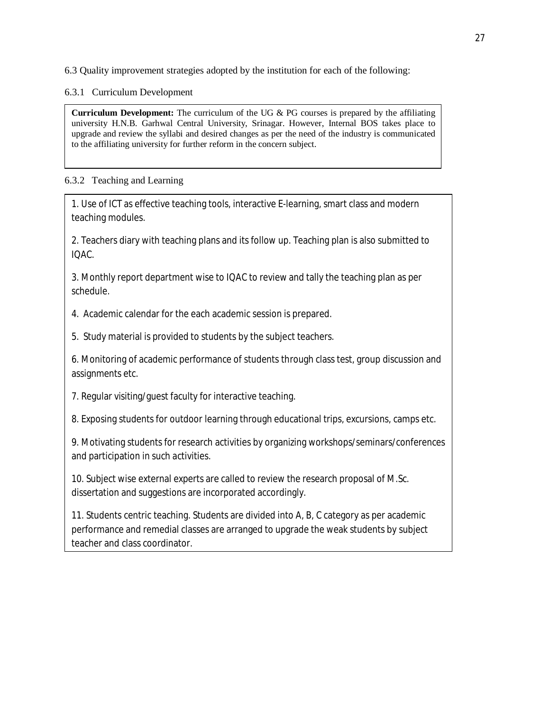6.3 Quality improvement strategies adopted by the institution for each of the following:

6.3.1 Curriculum Development

**Curriculum Development:** The curriculum of the UG & PG courses is prepared by the affiliating university H.N.B. Garhwal Central University, Srinagar. However, Internal BOS takes place to upgrade and review the syllabi and desired changes as per the need of the industry is communicated to the affiliating university for further reform in the concern subject.

### 6.3.2 Teaching and Learning

1. Use of ICT as effective teaching tools, interactive E-learning, smart class and modern teaching modules.

2. Teachers diary with teaching plans and its follow up. Teaching plan is also submitted to IQAC.

3. Monthly report department wise to IQAC to review and tally the teaching plan as per schedule.

4. Academic calendar for the each academic session is prepared.

5. Study material is provided to students by the subject teachers.

6. Monitoring of academic performance of students through class test, group discussion and assignments etc.

7. Regular visiting/guest faculty for interactive teaching.

8. Exposing students for outdoor learning through educational trips, excursions, camps etc.

9. Motivating students for research activities by organizing workshops/seminars/conferences and participation in such activities.

10. Subject wise external experts are called to review the research proposal of M.Sc. dissertation and suggestions are incorporated accordingly.

11. Students centric teaching. Students are divided into A, B, C category as per academic performance and remedial classes are arranged to upgrade the weak students by subject teacher and class coordinator.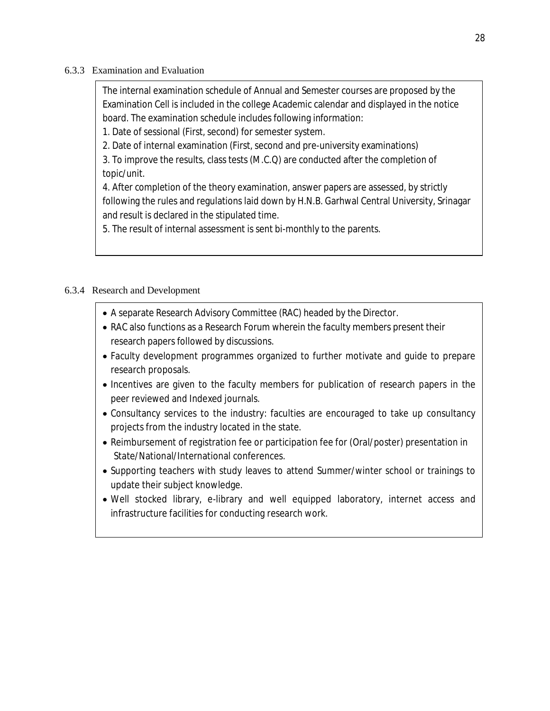#### 6.3.3 Examination and Evaluation

The internal examination schedule of Annual and Semester courses are proposed by the Examination Cell is included in the college Academic calendar and displayed in the notice board. The examination schedule includes following information:

1. Date of sessional (First, second) for semester system.

2. Date of internal examination (First, second and pre-university examinations)

3. To improve the results, class tests (M.C.Q) are conducted after the completion of topic/unit.

4. After completion of the theory examination, answer papers are assessed, by strictly following the rules and regulations laid down by H.N.B. Garhwal Central University, Srinagar and result is declared in the stipulated time.

5. The result of internal assessment is sent bi-monthly to the parents.

### 6.3.4 Research and Development

- A separate Research Advisory Committee (RAC) headed by the Director.
- RAC also functions as a Research Forum wherein the faculty members present their research papers followed by discussions.
- Faculty development programmes organized to further motivate and guide to prepare research proposals.
- Incentives are given to the faculty members for publication of research papers in the peer reviewed and Indexed journals.
- Consultancy services to the industry: faculties are encouraged to take up consultancy projects from the industry located in the state.
- Reimbursement of registration fee or participation fee for (Oral/poster) presentation in State/National/International conferences.
- Supporting teachers with study leaves to attend Summer/winter school or trainings to update their subject knowledge.
- Well stocked library, e-library and well equipped laboratory, internet access and infrastructure facilities for conducting research work.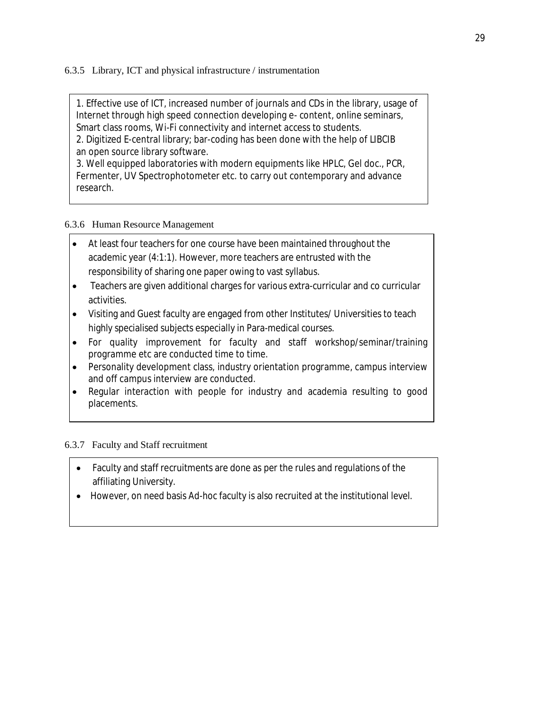6.3.5 Library, ICT and physical infrastructure / instrumentation

1. Effective use of ICT, increased number of journals and CDs in the library, usage of Internet through high speed connection developing e- content, online seminars, Smart class rooms, Wi-Fi connectivity and internet access to students.

2. Digitized E-central library; bar-coding has been done with the help of LIBCIB an open source library software.

3. Well equipped laboratories with modern equipments like HPLC, Gel doc., PCR, Fermenter, UV Spectrophotometer etc. to carry out contemporary and advance research.

### 6.3.6 Human Resource Management

- At least four teachers for one course have been maintained throughout the academic year (4:1:1). However, more teachers are entrusted with the responsibility of sharing one paper owing to vast syllabus.
- Teachers are given additional charges for various extra-curricular and co curricular activities.
- Visiting and Guest faculty are engaged from other Institutes/ Universities to teach highly specialised subjects especially in Para-medical courses.
- For quality improvement for faculty and staff workshop/seminar/training programme etc are conducted time to time.
- Personality development class, industry orientation programme, campus interview and off campus interview are conducted.
- Regular interaction with people for industry and academia resulting to good placements.

### 6.3.7 Faculty and Staff recruitment

- Faculty and staff recruitments are done as per the rules and regulations of the affiliating University.
- However, on need basis Ad-hoc faculty is also recruited at the institutional level.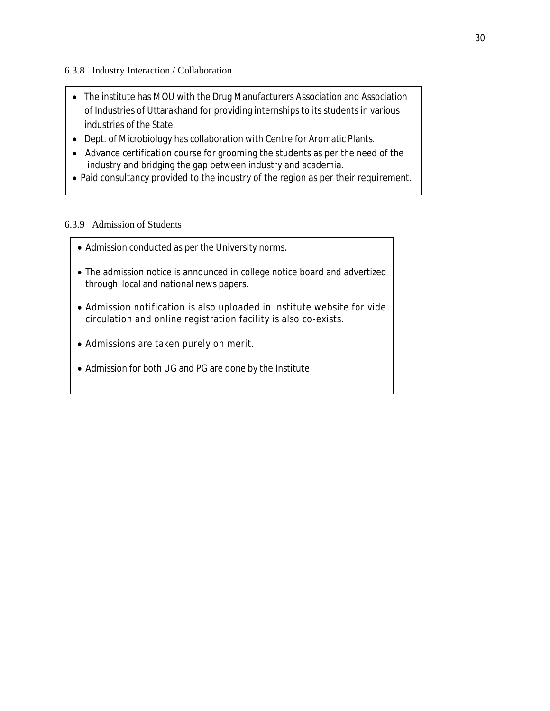6.3.8 Industry Interaction / Collaboration

- The institute has MOU with the Drug Manufacturers Association and Association of Industries of Uttarakhand for providing internships to its students in various industries of the State.
- Dept. of Microbiology has collaboration with Centre for Aromatic Plants.
- Advance certification course for grooming the students as per the need of the industry and bridging the gap between industry and academia.
- Paid consultancy provided to the industry of the region as per their requirement.

#### 6.3.9 Admission of Students

- Admission conducted as per the University norms.
- The admission notice is announced in college notice board and advertized through local and national news papers.
- Admission notification is also uploaded in institute website for vide circulation and online registration facility is also co-exists.
- Admissions are taken purely on merit.
- Admission for both UG and PG are done by the Institute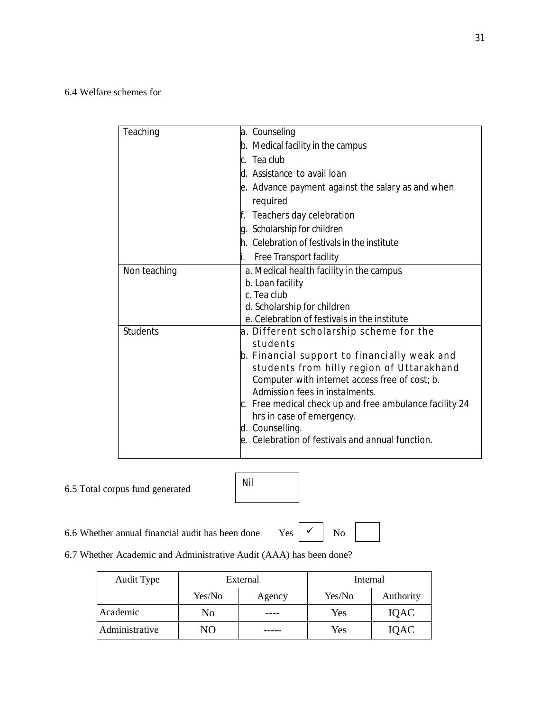6.4 Welfare schemes for

| Teaching        | a. Counseling                                           |
|-----------------|---------------------------------------------------------|
|                 | b. Medical facility in the campus                       |
|                 | c. Tea club                                             |
|                 | d. Assistance to avail loan                             |
|                 | e. Advance payment against the salary as and when       |
|                 | required                                                |
|                 | Teachers day celebration<br>f.                          |
|                 | g. Scholarship for children                             |
|                 | h. Celebration of festivals in the institute            |
|                 | Free Transport facility                                 |
| Non teaching    | a. Medical health facility in the campus                |
|                 | b. Loan facility                                        |
|                 | c. Tea club                                             |
|                 | d. Scholarship for children                             |
|                 | e. Celebration of festivals in the institute            |
| <b>Students</b> | a. Different scholarship scheme for the                 |
|                 | students                                                |
|                 | b. Financial support to financially weak and            |
|                 | students from hilly region of Uttarakhand               |
|                 | Computer with internet access free of cost; b.          |
|                 | Admission fees in instalments.                          |
|                 | c. Free medical check up and free ambulance facility 24 |
|                 | hrs in case of emergency.                               |
|                 | d. Counselling.                                         |
|                 | le. Celebration of festivals and annual function.       |
|                 |                                                         |

### 6.5 Total corpus fund generated

| Nil |  |
|-----|--|
|     |  |

6.6 Whether annual financial audit has been done Yes  $\vert \checkmark \vert$  No

 $\checkmark$ 

6.7 Whether Academic and Administrative Audit (AAA) has been done?

| Audit Type     | External |        | Internal |           |
|----------------|----------|--------|----------|-----------|
|                | Yes/No   | Agency | Yes/No   | Authority |
| Academic       | No       |        | Yes      | IQAC      |
| Administrative | NO       |        | Yes      | IQAC      |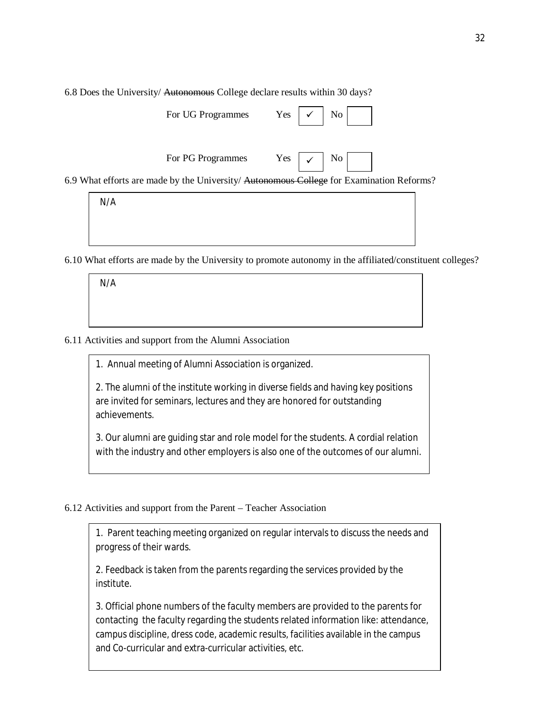6.8 Does the University/ Autonomous College declare results within 30 days?

| For UG Programmes | Yes | $\checkmark$ | No |  |
|-------------------|-----|--------------|----|--|

For PG Programmes Yes  $\vert \checkmark$  No

 $\checkmark$ 

6.9 What efforts are made by the University/ Autonomous College for Examination Reforms?

N/A

6.10 What efforts are made by the University to promote autonomy in the affiliated/constituent colleges?

N/A

#### 6.11 Activities and support from the Alumni Association

1. Annual meeting of Alumni Association is organized.

2. The alumni of the institute working in diverse fields and having key positions are invited for seminars, lectures and they are honored for outstanding achievements.

3. Our alumni are guiding star and role model for the students. A cordial relation with the industry and other employers is also one of the outcomes of our alumni.

#### 6.12 Activities and support from the Parent – Teacher Association

1. Parent teaching meeting organized on regular intervals to discuss the needs and progress of their wards.

2. Feedback is taken from the parents regarding the services provided by the institute.

3. Official phone numbers of the faculty members are provided to the parents for contacting the faculty regarding the students related information like: attendance, campus discipline, dress code, academic results, facilities available in the campus and Co-curricular and extra-curricular activities, etc.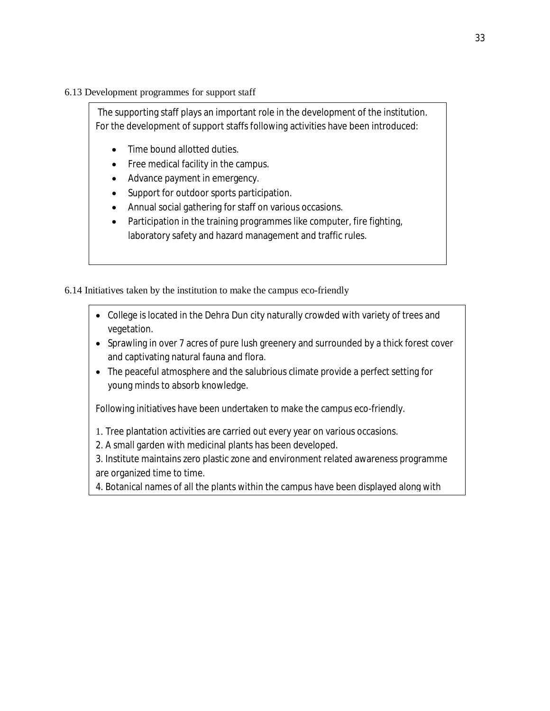### 6.13 Development programmes for support staff

The supporting staff plays an important role in the development of the institution. For the development of support staffs following activities have been introduced:

- Time bound allotted duties.
- Free medical facility in the campus.
- Advance payment in emergency.
- Support for outdoor sports participation.
- Annual social gathering for staff on various occasions.
- Participation in the training programmes like computer, fire fighting, laboratory safety and hazard management and traffic rules.

6.14 Initiatives taken by the institution to make the campus eco-friendly

- College is located in the Dehra Dun city naturally crowded with variety of trees and vegetation.
- Sprawling in over 7 acres of pure lush greenery and surrounded by a thick forest cover and captivating natural fauna and flora.
- The peaceful atmosphere and the salubrious climate provide a perfect setting for young minds to absorb knowledge.

Following initiatives have been undertaken to make the campus eco-friendly.

- 1. Tree plantation activities are carried out every year on various occasions.
- 2. A small garden with medicinal plants has been developed.
- 3. Institute maintains zero plastic zone and environment related awareness programme are organized time to time.
- 4. Botanical names of all the plants within the campus have been displayed along with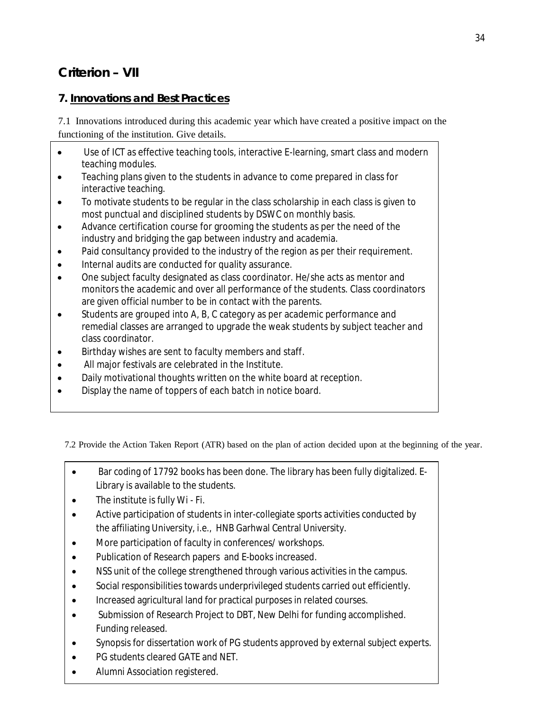# **Criterion – VII**

### **7. Innovations and Best Practices**

7.1 Innovations introduced during this academic year which have created a positive impact on the functioning of the institution. Give details.

- Use of ICT as effective teaching tools, interactive E-learning, smart class and modern teaching modules.
- Teaching plans given to the students in advance to come prepared in class for interactive teaching.
- To motivate students to be regular in the class scholarship in each class is given to most punctual and disciplined students by DSWC on monthly basis.
- Advance certification course for grooming the students as per the need of the industry and bridging the gap between industry and academia.
- Paid consultancy provided to the industry of the region as per their requirement.
- Internal audits are conducted for quality assurance.
- One subject faculty designated as class coordinator. He/she acts as mentor and monitors the academic and over all performance of the students. Class coordinators are given official number to be in contact with the parents.
- Students are grouped into A, B, C category as per academic performance and remedial classes are arranged to upgrade the weak students by subject teacher and class coordinator.
- Birthday wishes are sent to faculty members and staff.
- All major festivals are celebrated in the Institute.
- Daily motivational thoughts written on the white board at reception.
- Display the name of toppers of each batch in notice board.

7.2 Provide the Action Taken Report (ATR) based on the plan of action decided upon at the beginning of the year.

- Bar coding of 17792 books has been done. The library has been fully digitalized. E-Library is available to the students.
- The institute is fully Wi Fi.
- Active participation of students in inter-collegiate sports activities conducted by the affiliating University, i.e., HNB Garhwal Central University.
- More participation of faculty in conferences/ workshops.
- Publication of Research papers and E-books increased.
- NSS unit of the college strengthened through various activities in the campus.
- Social responsibilities towards underprivileged students carried out efficiently.
- Increased agricultural land for practical purposes in related courses.
- Submission of Research Project to DBT, New Delhi for funding accomplished. Funding released.
- Synopsis for dissertation work of PG students approved by external subject experts.
- PG students cleared GATE and NET.
- Alumni Association registered.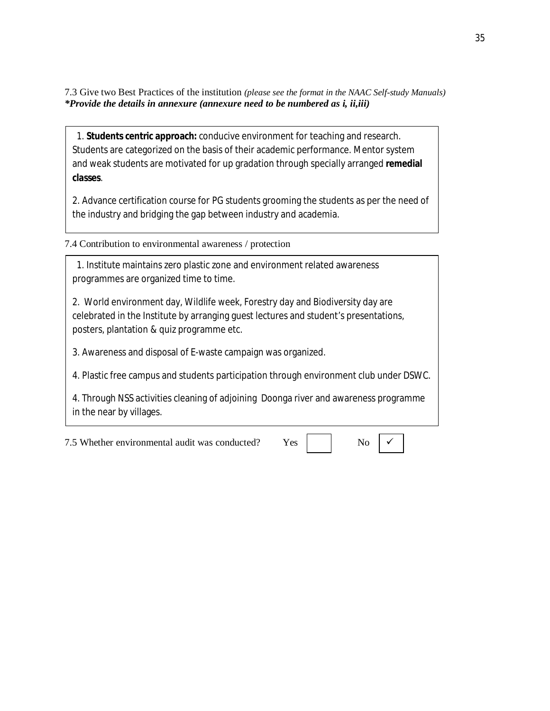7.3 Give two Best Practices of the institution *(please see the format in the NAAC Self-study Manuals) \*Provide the details in annexure (annexure need to be numbered as i, ii,iii)*

 1. **Students centric approach:** conducive environment for teaching and research. Students are categorized on the basis of their academic performance. Mentor system and weak students are motivated for up gradation through specially arranged **remedial classes**.

2. Advance certification course for PG students grooming the students as per the need of the industry and bridging the gap between industry and academia.

7.4 Contribution to environmental awareness / protection

 1. Institute maintains zero plastic zone and environment related awareness programmes are organized time to time.

2. World environment day, Wildlife week, Forestry day and Biodiversity day are celebrated in the Institute by arranging guest lectures and student's presentations, posters, plantation & quiz programme etc.

3. Awareness and disposal of E-waste campaign was organized.

4. Plastic free campus and students participation through environment club under DSWC.

4. Through NSS activities cleaning of adjoining Doonga river and awareness programme in the near by villages.

7.5 Whether environmental audit was conducted? Yes No

 $\checkmark$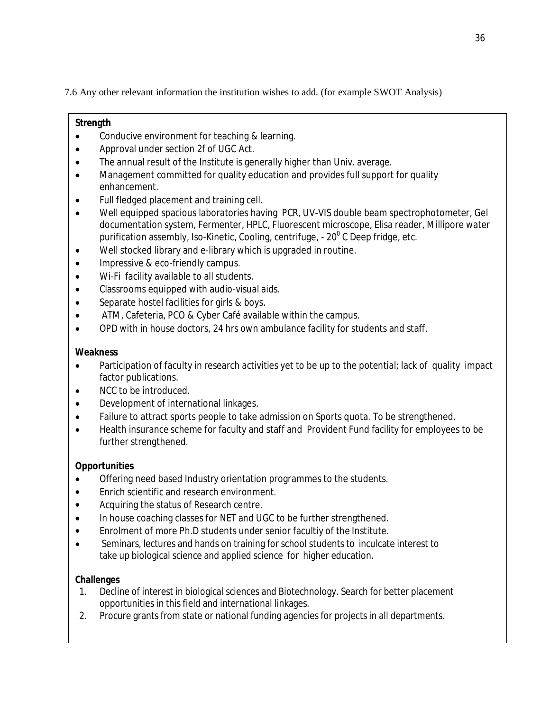7.6 Any other relevant information the institution wishes to add. (for example SWOT Analysis)

### **Strength**

- Conducive environment for teaching & learning.
- Approval under section 2f of UGC Act.
- The annual result of the Institute is generally higher than Univ. average.
- Management committed for quality education and provides full support for quality enhancement.
- Full fledged placement and training cell.
- Well equipped spacious laboratories having PCR, UV-VIS double beam spectrophotometer, Gel documentation system, Fermenter, HPLC, Fluorescent microscope, Elisa reader, Millipore water purification assembly, Iso-Kinetic, Cooling, centrifuge, - 20 $^{\rm o}$  C Deep fridge, etc.
- Well stocked library and e-library which is upgraded in routine.
- Impressive & eco-friendly campus.
- Wi-Fi facility available to all students.
- Classrooms equipped with audio-visual aids.
- Separate hostel facilities for girls & boys.
- ATM, Cafeteria, PCO & Cyber Café available within the campus.
- OPD with in house doctors, 24 hrs own ambulance facility for students and staff.

### **Weakness**

- Participation of faculty in research activities yet to be up to the potential; lack of quality impact factor publications.
- NCC to be introduced.
- Development of international linkages.
- Failure to attract sports people to take admission on Sports quota. To be strengthened.
- Health insurance scheme for faculty and staff and Provident Fund facility for employees to be further strengthened.

### **Opportunities**

- Offering need based Industry orientation programmes to the students.
- Enrich scientific and research environment.
- Acquiring the status of Research centre.
- In house coaching classes for NET and UGC to be further strengthened.
- Enrolment of more Ph.D students under senior facultiy of the Institute.
- Seminars, lectures and hands on training for school students to inculcate interest to take up biological science and applied science for higher education.

### **Challenges**

- 1. Decline of interest in biological sciences and Biotechnology. Search for better placement opportunities in this field and international linkages.
- 2. Procure grants from state or national funding agencies for projects in all departments.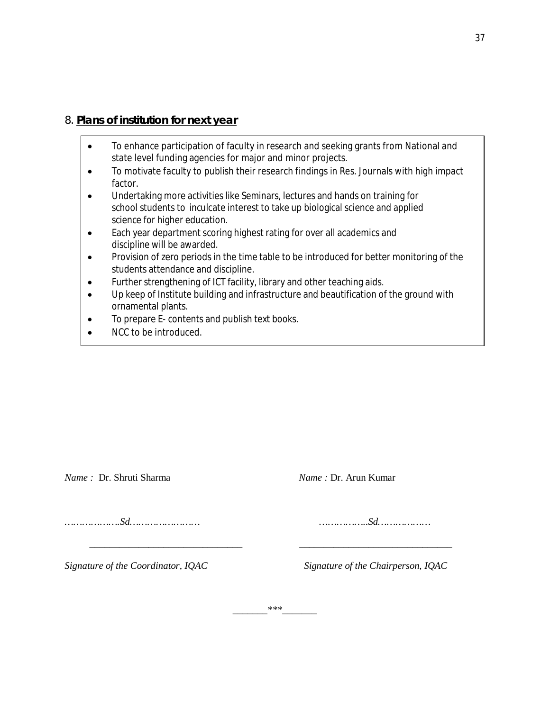### 8. **Plans of institution for next year**

- To enhance participation of faculty in research and seeking grants from National and state level funding agencies for major and minor projects.
- To motivate faculty to publish their research findings in Res. Journals with high impact factor.
- Undertaking more activities like Seminars, lectures and hands on training for school students to inculcate interest to take up biological science and applied science for higher education.
- Each year department scoring highest rating for over all academics and discipline will be awarded.
- Provision of zero periods in the time table to be introduced for better monitoring of the students attendance and discipline.
- Further strengthening of ICT facility, library and other teaching aids.
- Up keep of Institute building and infrastructure and beautification of the ground with ornamental plants.
- To prepare E- contents and publish text books.
- NCC to be introduced.

*Name : Dr. Shruti Sharma* 

*……………….Sd…………………… ……………..Sd………………*

*Signature of the Coordinator, IQAC Signature of the Chairperson, IQAC*

*\_\_\_\_\_\_\_\*\*\*\_\_\_\_\_\_\_*

 *\_\_\_\_\_\_\_\_\_\_\_\_\_\_\_\_\_\_\_\_\_\_\_\_\_\_\_\_\_\_\_ \_\_\_\_\_\_\_\_\_\_\_\_\_\_\_\_\_\_\_\_\_\_\_\_\_\_\_\_\_\_\_*